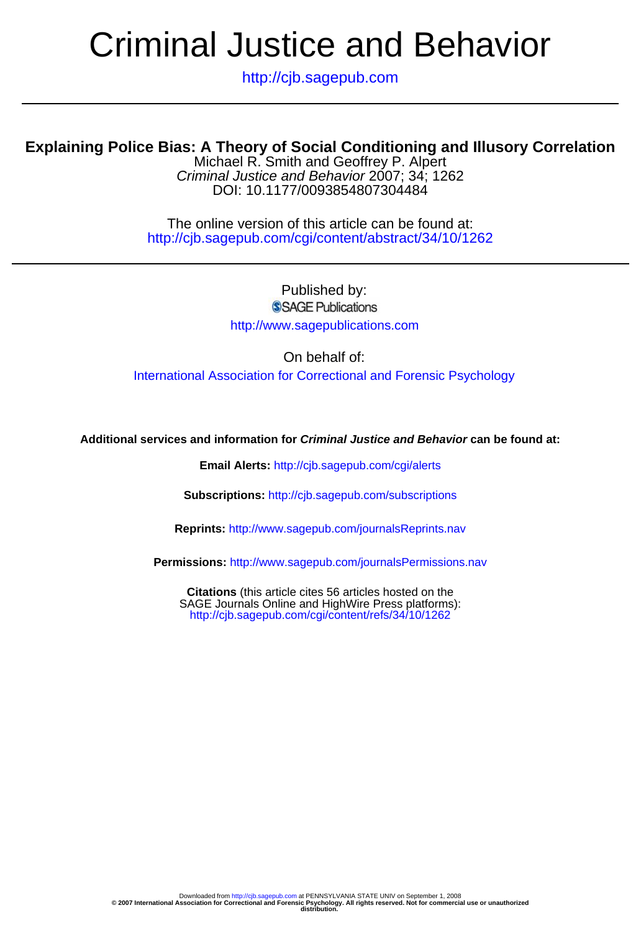# Criminal Justice and Behavior

http://cjb.sagepub.com

# Michael R. Smith and Geoffrey P. Alpert **Explaining Police Bias: A Theory of Social Conditioning and Illusory Correlation**

DOI: 10.1177/0093854807304484 Criminal Justice and Behavior 2007; 34; 1262

http://cjb.sagepub.com/cgi/content/abstract/34/10/1262 The online version of this article can be found at:

> Published by: SSAGE Publications http://www.sagepublications.com

> > On behalf of:

[International Association for Correctional and Forensic Psychology](http://www.aa4cfp.org)

**Additional services and information for Criminal Justice and Behavior can be found at:**

**Email Alerts:** <http://cjb.sagepub.com/cgi/alerts>

**Subscriptions:** <http://cjb.sagepub.com/subscriptions>

**Reprints:** <http://www.sagepub.com/journalsReprints.nav>

**Permissions:** <http://www.sagepub.com/journalsPermissions.nav>

<http://cjb.sagepub.com/cgi/content/refs/34/10/1262> SAGE Journals Online and HighWire Press platforms): **Citations** (this article cites 56 articles hosted on the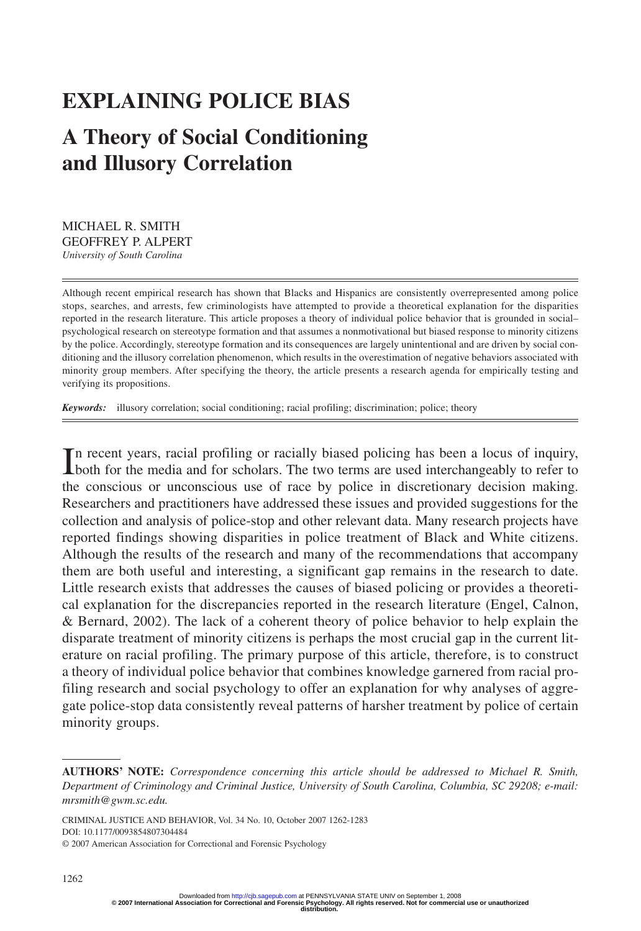# **EXPLAINING POLICE BIAS**

# **A Theory of Social Conditioning and Illusory Correlation**

MICHAEL R. SMITH GEOFFREY P. ALPERT *University of South Carolina*

Although recent empirical research has shown that Blacks and Hispanics are consistently overrepresented among police stops, searches, and arrests, few criminologists have attempted to provide a theoretical explanation for the disparities reported in the research literature. This article proposes a theory of individual police behavior that is grounded in social– psychological research on stereotype formation and that assumes a nonmotivational but biased response to minority citizens by the police. Accordingly, stereotype formation and its consequences are largely unintentional and are driven by social conditioning and the illusory correlation phenomenon, which results in the overestimation of negative behaviors associated with minority group members. After specifying the theory, the article presents a research agenda for empirically testing and verifying its propositions.

*Keywords:* illusory correlation; social conditioning; racial profiling; discrimination; police; theory

In recent years, racial profiling or racially biased policing has been a locus of inquiry,<br>both for the media and for scholars. The two terms are used interchangeably to refer to both for the media and for scholars. The two terms are used interchangeably to refer to the conscious or unconscious use of race by police in discretionary decision making. Researchers and practitioners have addressed these issues and provided suggestions for the collection and analysis of police-stop and other relevant data. Many research projects have reported findings showing disparities in police treatment of Black and White citizens. Although the results of the research and many of the recommendations that accompany them are both useful and interesting, a significant gap remains in the research to date. Little research exists that addresses the causes of biased policing or provides a theoretical explanation for the discrepancies reported in the research literature (Engel, Calnon, & Bernard, 2002). The lack of a coherent theory of police behavior to help explain the disparate treatment of minority citizens is perhaps the most crucial gap in the current literature on racial profiling. The primary purpose of this article, therefore, is to construct a theory of individual police behavior that combines knowledge garnered from racial profiling research and social psychology to offer an explanation for why analyses of aggregate police-stop data consistently reveal patterns of harsher treatment by police of certain minority groups.

CRIMINAL JUSTICE AND BEHAVIOR, Vol. 34 No. 10, October 2007 1262-1283 DOI: 10.1177/0093854807304484 © 2007 American Association for Correctional and Forensic Psychology

**AUTHORS' NOTE:** *Correspondence concerning this article should be addressed to Michael R. Smith, Department of Criminology and Criminal Justice, University of South Carolina, Columbia, SC 29208; e-mail: mrsmith@gwm.sc.edu.*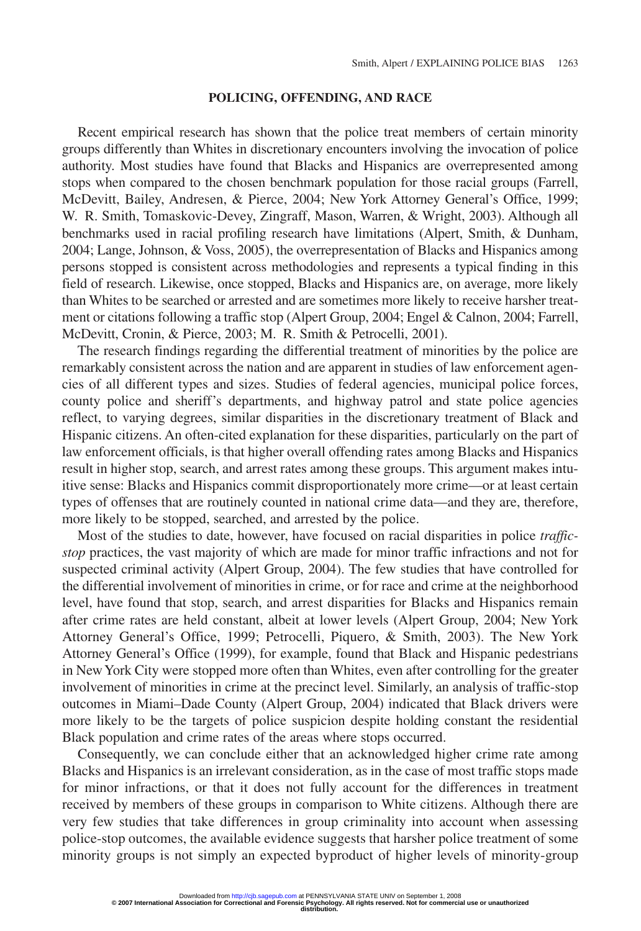#### **POLICING, OFFENDING, AND RACE**

Recent empirical research has shown that the police treat members of certain minority groups differently than Whites in discretionary encounters involving the invocation of police authority. Most studies have found that Blacks and Hispanics are overrepresented among stops when compared to the chosen benchmark population for those racial groups (Farrell, McDevitt, Bailey, Andresen, & Pierce, 2004; New York Attorney General's Office, 1999; W. R. Smith, Tomaskovic-Devey, Zingraff, Mason, Warren, & Wright, 2003). Although all benchmarks used in racial profiling research have limitations (Alpert, Smith, & Dunham, 2004; Lange, Johnson, & Voss, 2005), the overrepresentation of Blacks and Hispanics among persons stopped is consistent across methodologies and represents a typical finding in this field of research. Likewise, once stopped, Blacks and Hispanics are, on average, more likely than Whites to be searched or arrested and are sometimes more likely to receive harsher treatment or citations following a traffic stop (Alpert Group, 2004; Engel & Calnon, 2004; Farrell, McDevitt, Cronin, & Pierce, 2003; M. R. Smith & Petrocelli, 2001).

The research findings regarding the differential treatment of minorities by the police are remarkably consistent across the nation and are apparent in studies of law enforcement agencies of all different types and sizes. Studies of federal agencies, municipal police forces, county police and sheriff's departments, and highway patrol and state police agencies reflect, to varying degrees, similar disparities in the discretionary treatment of Black and Hispanic citizens. An often-cited explanation for these disparities, particularly on the part of law enforcement officials, is that higher overall offending rates among Blacks and Hispanics result in higher stop, search, and arrest rates among these groups. This argument makes intuitive sense: Blacks and Hispanics commit disproportionately more crime—or at least certain types of offenses that are routinely counted in national crime data—and they are, therefore, more likely to be stopped, searched, and arrested by the police.

Most of the studies to date, however, have focused on racial disparities in police *trafficstop* practices, the vast majority of which are made for minor traffic infractions and not for suspected criminal activity (Alpert Group, 2004). The few studies that have controlled for the differential involvement of minorities in crime, or for race and crime at the neighborhood level, have found that stop, search, and arrest disparities for Blacks and Hispanics remain after crime rates are held constant, albeit at lower levels (Alpert Group, 2004; New York Attorney General's Office, 1999; Petrocelli, Piquero, & Smith, 2003). The New York Attorney General's Office (1999), for example, found that Black and Hispanic pedestrians in New York City were stopped more often than Whites, even after controlling for the greater involvement of minorities in crime at the precinct level. Similarly, an analysis of traffic-stop outcomes in Miami–Dade County (Alpert Group, 2004) indicated that Black drivers were more likely to be the targets of police suspicion despite holding constant the residential Black population and crime rates of the areas where stops occurred.

Consequently, we can conclude either that an acknowledged higher crime rate among Blacks and Hispanics is an irrelevant consideration, as in the case of most traffic stops made for minor infractions, or that it does not fully account for the differences in treatment received by members of thes[e groups in c](http://cjb.sagepub.com)omparison to White citizens. Although there are very few studies that take differences in group criminality into account when assessing police-stop outcomes, the available evidence suggests that harsher police treatment of some minority groups is not simply an expected byproduct of higher levels of minority-group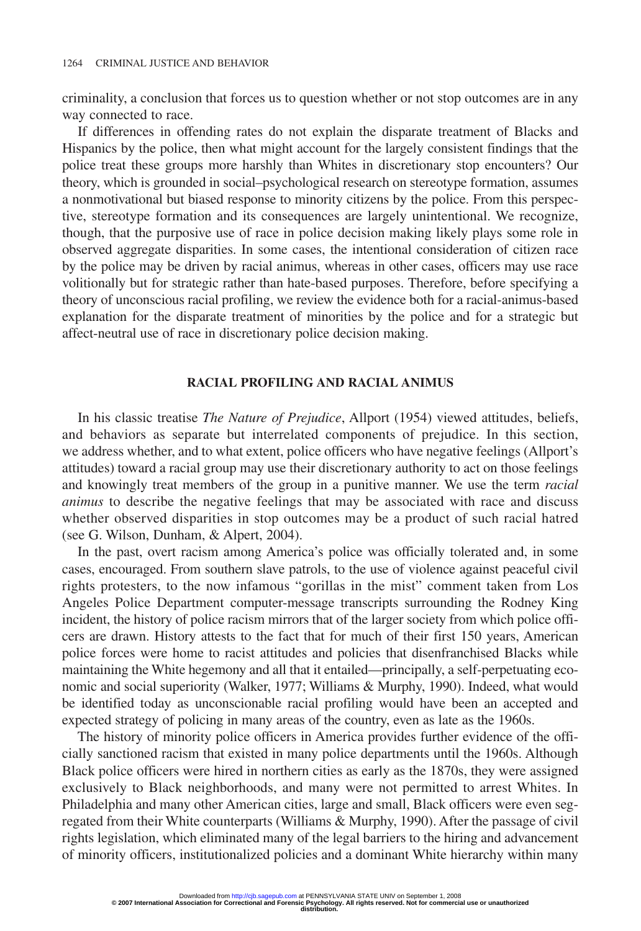criminality, a conclusion that forces us to question whether or not stop outcomes are in any way connected to race.

If differences in offending rates do not explain the disparate treatment of Blacks and Hispanics by the police, then what might account for the largely consistent findings that the police treat these groups more harshly than Whites in discretionary stop encounters? Our theory, which is grounded in social–psychological research on stereotype formation, assumes a nonmotivational but biased response to minority citizens by the police. From this perspective, stereotype formation and its consequences are largely unintentional. We recognize, though, that the purposive use of race in police decision making likely plays some role in observed aggregate disparities. In some cases, the intentional consideration of citizen race by the police may be driven by racial animus, whereas in other cases, officers may use race volitionally but for strategic rather than hate-based purposes. Therefore, before specifying a theory of unconscious racial profiling, we review the evidence both for a racial-animus-based explanation for the disparate treatment of minorities by the police and for a strategic but affect-neutral use of race in discretionary police decision making.

# **RACIAL PROFILING AND RACIAL ANIMUS**

In his classic treatise *The Nature of Prejudice*, Allport (1954) viewed attitudes, beliefs, and behaviors as separate but interrelated components of prejudice. In this section, we address whether, and to what extent, police officers who have negative feelings (Allport's attitudes) toward a racial group may use their discretionary authority to act on those feelings and knowingly treat members of the group in a punitive manner. We use the term *racial animus* to describe the negative feelings that may be associated with race and discuss whether observed disparities in stop outcomes may be a product of such racial hatred (see G. Wilson, Dunham, & Alpert, 2004).

In the past, overt racism among America's police was officially tolerated and, in some cases, encouraged. From southern slave patrols, to the use of violence against peaceful civil rights protesters, to the now infamous "gorillas in the mist" comment taken from Los Angeles Police Department computer-message transcripts surrounding the Rodney King incident, the history of police racism mirrors that of the larger society from which police officers are drawn. History attests to the fact that for much of their first 150 years, American police forces were home to racist attitudes and policies that disenfranchised Blacks while maintaining the White hegemony and all that it entailed—principally, a self-perpetuating economic and social superiority (Walker, 1977; Williams & Murphy, 1990). Indeed, what would be identified today as unconscionable racial profiling would have been an accepted and expected strategy of policing in many areas of the country, even as late as the 1960s.

The history of minority police officers in America provides further evidence of the officially sanctioned racism that existed in many police departments until the 1960s. Although Black police officers were hired in northern cities as early as the 1870s, they were assigned exclusively to Black neighborhoods, and many were not permitted to arrest Whites. In Philadelphia and many other [American cit](http://cjb.sagepub.com)ies, large and small, Black officers were even segregated from their White counterparts (Williams & Murphy, 1990). After the passage of civil rights legislation, which eliminated many of the legal barriers to the hiring and advancement of minority officers, institutionalized policies and a dominant White hierarchy within many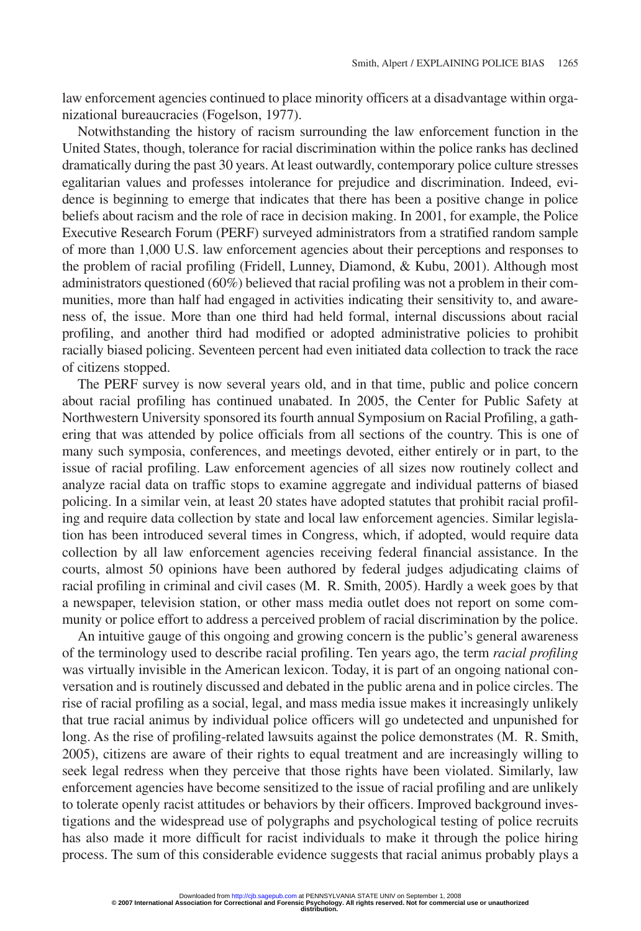law enforcement agencies continued to place minority officers at a disadvantage within organizational bureaucracies (Fogelson, 1977).

Notwithstanding the history of racism surrounding the law enforcement function in the United States, though, tolerance for racial discrimination within the police ranks has declined dramatically during the past 30 years. At least outwardly, contemporary police culture stresses egalitarian values and professes intolerance for prejudice and discrimination. Indeed, evidence is beginning to emerge that indicates that there has been a positive change in police beliefs about racism and the role of race in decision making. In 2001, for example, the Police Executive Research Forum (PERF) surveyed administrators from a stratified random sample of more than 1,000 U.S. law enforcement agencies about their perceptions and responses to the problem of racial profiling (Fridell, Lunney, Diamond, & Kubu, 2001). Although most administrators questioned (60%) believed that racial profiling was not a problem in their communities, more than half had engaged in activities indicating their sensitivity to, and awareness of, the issue. More than one third had held formal, internal discussions about racial profiling, and another third had modified or adopted administrative policies to prohibit racially biased policing. Seventeen percent had even initiated data collection to track the race of citizens stopped.

The PERF survey is now several years old, and in that time, public and police concern about racial profiling has continued unabated. In 2005, the Center for Public Safety at Northwestern University sponsored its fourth annual Symposium on Racial Profiling, a gathering that was attended by police officials from all sections of the country. This is one of many such symposia, conferences, and meetings devoted, either entirely or in part, to the issue of racial profiling. Law enforcement agencies of all sizes now routinely collect and analyze racial data on traffic stops to examine aggregate and individual patterns of biased policing. In a similar vein, at least 20 states have adopted statutes that prohibit racial profiling and require data collection by state and local law enforcement agencies. Similar legislation has been introduced several times in Congress, which, if adopted, would require data collection by all law enforcement agencies receiving federal financial assistance. In the courts, almost 50 opinions have been authored by federal judges adjudicating claims of racial profiling in criminal and civil cases (M. R. Smith, 2005). Hardly a week goes by that a newspaper, television station, or other mass media outlet does not report on some community or police effort to address a perceived problem of racial discrimination by the police.

An intuitive gauge of this ongoing and growing concern is the public's general awareness of the terminology used to describe racial profiling. Ten years ago, the term *racial profiling* was virtually invisible in the American lexicon. Today, it is part of an ongoing national conversation and is routinely discussed and debated in the public arena and in police circles. The rise of racial profiling as a social, legal, and mass media issue makes it increasingly unlikely that true racial animus by individual police officers will go undetected and unpunished for long. As the rise of profiling-related lawsuits against the police demonstrates (M. R. Smith, 2005), citizens are aware of their rights to equal treatment and are increasingly willing to seek legal redress when they perceive that those rights have been violated. Similarly, law enforcement agencies have become sensitized to the issue of racial profiling and are unlikely to tolerate openly racist attitu[des or behavi](http://cjb.sagepub.com)ors by their officers. Improved background investigations and the widespread use of polygraphs and psychological testing of police recruits has also made it more difficult for racist individuals to make it through the police hiring process. The sum of this considerable evidence suggests that racial animus probably plays a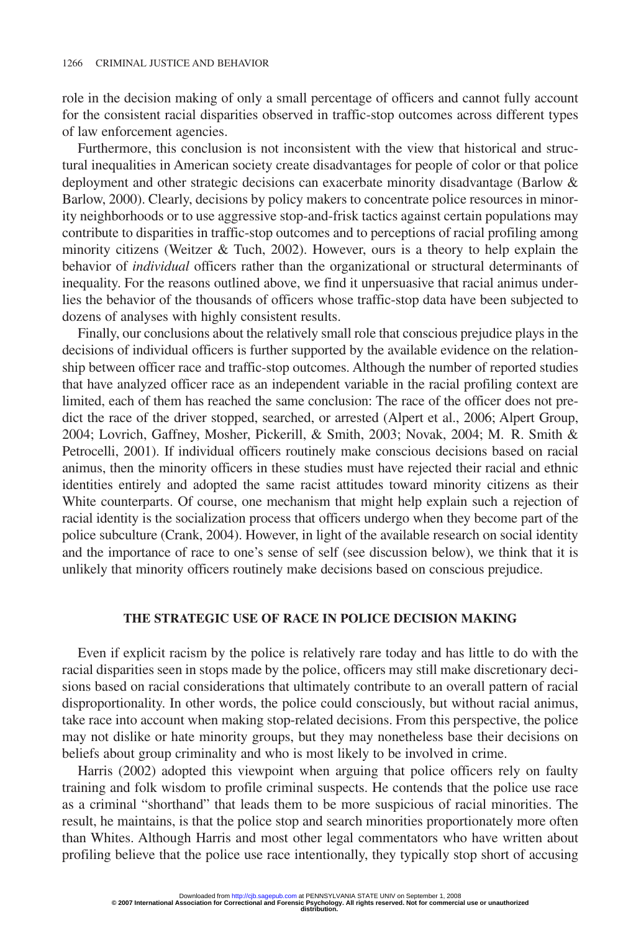role in the decision making of only a small percentage of officers and cannot fully account for the consistent racial disparities observed in traffic-stop outcomes across different types of law enforcement agencies.

Furthermore, this conclusion is not inconsistent with the view that historical and structural inequalities in American society create disadvantages for people of color or that police deployment and other strategic decisions can exacerbate minority disadvantage (Barlow & Barlow, 2000). Clearly, decisions by policy makers to concentrate police resources in minority neighborhoods or to use aggressive stop-and-frisk tactics against certain populations may contribute to disparities in traffic-stop outcomes and to perceptions of racial profiling among minority citizens (Weitzer  $&$  Tuch, 2002). However, ours is a theory to help explain the behavior of *individual* officers rather than the organizational or structural determinants of inequality. For the reasons outlined above, we find it unpersuasive that racial animus underlies the behavior of the thousands of officers whose traffic-stop data have been subjected to dozens of analyses with highly consistent results.

Finally, our conclusions about the relatively small role that conscious prejudice plays in the decisions of individual officers is further supported by the available evidence on the relationship between officer race and traffic-stop outcomes. Although the number of reported studies that have analyzed officer race as an independent variable in the racial profiling context are limited, each of them has reached the same conclusion: The race of the officer does not predict the race of the driver stopped, searched, or arrested (Alpert et al., 2006; Alpert Group, 2004; Lovrich, Gaffney, Mosher, Pickerill, & Smith, 2003; Novak, 2004; M. R. Smith & Petrocelli, 2001). If individual officers routinely make conscious decisions based on racial animus, then the minority officers in these studies must have rejected their racial and ethnic identities entirely and adopted the same racist attitudes toward minority citizens as their White counterparts. Of course, one mechanism that might help explain such a rejection of racial identity is the socialization process that officers undergo when they become part of the police subculture (Crank, 2004). However, in light of the available research on social identity and the importance of race to one's sense of self (see discussion below), we think that it is unlikely that minority officers routinely make decisions based on conscious prejudice.

# **THE STRATEGIC USE OF RACE IN POLICE DECISION MAKING**

Even if explicit racism by the police is relatively rare today and has little to do with the racial disparities seen in stops made by the police, officers may still make discretionary decisions based on racial considerations that ultimately contribute to an overall pattern of racial disproportionality. In other words, the police could consciously, but without racial animus, take race into account when making stop-related decisions. From this perspective, the police may not dislike or hate minority groups, but they may nonetheless base their decisions on beliefs about group criminality and who is most likely to be involved in crime.

Harris (2002) adopted this viewpoint when arguing that police officers rely on faulty training and folk wisdom to profile criminal suspects. He contends that the police use race as a criminal "shorthand" th[at leads them](http://cjb.sagepub.com) to be more suspicious of racial minorities. The result, he maintains, is that the police stop and search minorities proportionately more often than Whites. Although Harris and most other legal commentators who have written about profiling believe that the police use race intentionally, they typically stop short of accusing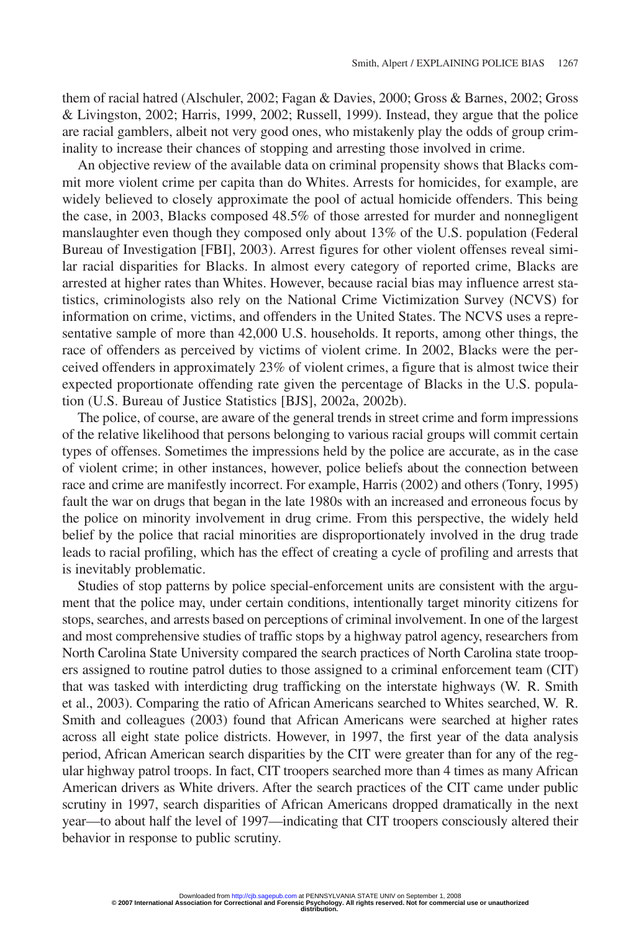them of racial hatred (Alschuler, 2002; Fagan & Davies, 2000; Gross & Barnes, 2002; Gross & Livingston, 2002; Harris, 1999, 2002; Russell, 1999). Instead, they argue that the police are racial gamblers, albeit not very good ones, who mistakenly play the odds of group criminality to increase their chances of stopping and arresting those involved in crime.

An objective review of the available data on criminal propensity shows that Blacks commit more violent crime per capita than do Whites. Arrests for homicides, for example, are widely believed to closely approximate the pool of actual homicide offenders. This being the case, in 2003, Blacks composed 48.5% of those arrested for murder and nonnegligent manslaughter even though they composed only about 13% of the U.S. population (Federal Bureau of Investigation [FBI], 2003). Arrest figures for other violent offenses reveal similar racial disparities for Blacks. In almost every category of reported crime, Blacks are arrested at higher rates than Whites. However, because racial bias may influence arrest statistics, criminologists also rely on the National Crime Victimization Survey (NCVS) for information on crime, victims, and offenders in the United States. The NCVS uses a representative sample of more than 42,000 U.S. households. It reports, among other things, the race of offenders as perceived by victims of violent crime. In 2002, Blacks were the perceived offenders in approximately 23% of violent crimes, a figure that is almost twice their expected proportionate offending rate given the percentage of Blacks in the U.S. population (U.S. Bureau of Justice Statistics [BJS], 2002a, 2002b).

The police, of course, are aware of the general trends in street crime and form impressions of the relative likelihood that persons belonging to various racial groups will commit certain types of offenses. Sometimes the impressions held by the police are accurate, as in the case of violent crime; in other instances, however, police beliefs about the connection between race and crime are manifestly incorrect. For example, Harris (2002) and others (Tonry, 1995) fault the war on drugs that began in the late 1980s with an increased and erroneous focus by the police on minority involvement in drug crime. From this perspective, the widely held belief by the police that racial minorities are disproportionately involved in the drug trade leads to racial profiling, which has the effect of creating a cycle of profiling and arrests that is inevitably problematic.

Studies of stop patterns by police special-enforcement units are consistent with the argument that the police may, under certain conditions, intentionally target minority citizens for stops, searches, and arrests based on perceptions of criminal involvement. In one of the largest and most comprehensive studies of traffic stops by a highway patrol agency, researchers from North Carolina State University compared the search practices of North Carolina state troopers assigned to routine patrol duties to those assigned to a criminal enforcement team (CIT) that was tasked with interdicting drug trafficking on the interstate highways (W. R. Smith et al., 2003). Comparing the ratio of African Americans searched to Whites searched, W. R. Smith and colleagues (2003) found that African Americans were searched at higher rates across all eight state police districts. However, in 1997, the first year of the data analysis period, African American search disparities by the CIT were greater than for any of the regular highway patrol troops. In fact, CIT troopers searched more than 4 times as many African American drivers as White drivers. After the search practices of the CIT came under public scrutiny in 1997, search disp[arities of Afr](http://cjb.sagepub.com)ican Americans dropped dramatically in the next year—to about half the level of 1997—indicating that CIT troopers consciously altered their behavior in response to public scrutiny.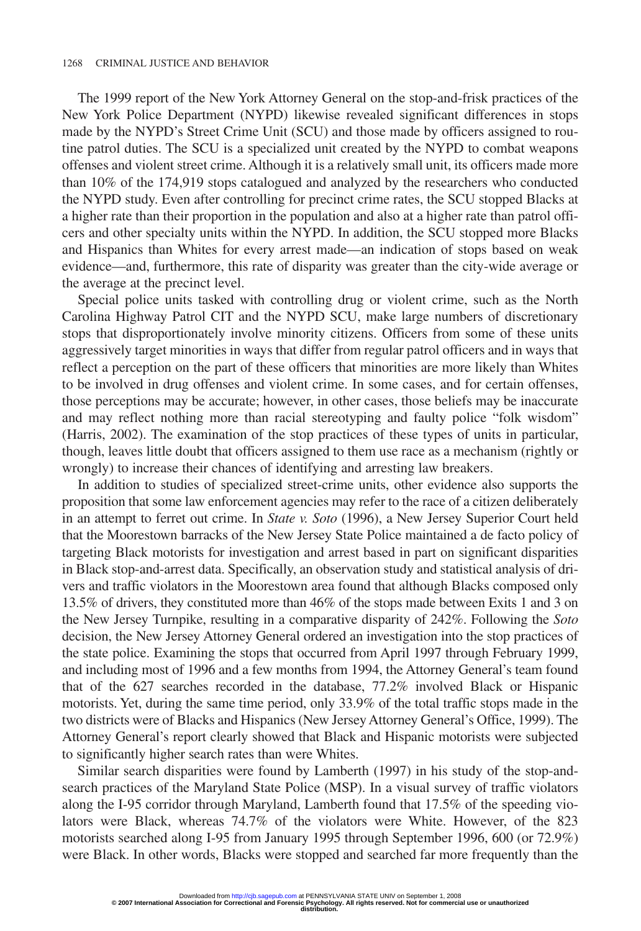The 1999 report of the New York Attorney General on the stop-and-frisk practices of the New York Police Department (NYPD) likewise revealed significant differences in stops made by the NYPD's Street Crime Unit (SCU) and those made by officers assigned to routine patrol duties. The SCU is a specialized unit created by the NYPD to combat weapons offenses and violent street crime. Although it is a relatively small unit, its officers made more than 10% of the 174,919 stops catalogued and analyzed by the researchers who conducted the NYPD study. Even after controlling for precinct crime rates, the SCU stopped Blacks at a higher rate than their proportion in the population and also at a higher rate than patrol officers and other specialty units within the NYPD. In addition, the SCU stopped more Blacks and Hispanics than Whites for every arrest made—an indication of stops based on weak evidence—and, furthermore, this rate of disparity was greater than the city-wide average or the average at the precinct level.

Special police units tasked with controlling drug or violent crime, such as the North Carolina Highway Patrol CIT and the NYPD SCU, make large numbers of discretionary stops that disproportionately involve minority citizens. Officers from some of these units aggressively target minorities in ways that differ from regular patrol officers and in ways that reflect a perception on the part of these officers that minorities are more likely than Whites to be involved in drug offenses and violent crime. In some cases, and for certain offenses, those perceptions may be accurate; however, in other cases, those beliefs may be inaccurate and may reflect nothing more than racial stereotyping and faulty police "folk wisdom" (Harris, 2002). The examination of the stop practices of these types of units in particular, though, leaves little doubt that officers assigned to them use race as a mechanism (rightly or wrongly) to increase their chances of identifying and arresting law breakers.

In addition to studies of specialized street-crime units, other evidence also supports the proposition that some law enforcement agencies may refer to the race of a citizen deliberately in an attempt to ferret out crime. In *State v. Soto* (1996), a New Jersey Superior Court held that the Moorestown barracks of the New Jersey State Police maintained a de facto policy of targeting Black motorists for investigation and arrest based in part on significant disparities in Black stop-and-arrest data. Specifically, an observation study and statistical analysis of drivers and traffic violators in the Moorestown area found that although Blacks composed only 13.5% of drivers, they constituted more than 46% of the stops made between Exits 1 and 3 on the New Jersey Turnpike, resulting in a comparative disparity of 242%. Following the *Soto* decision, the New Jersey Attorney General ordered an investigation into the stop practices of the state police. Examining the stops that occurred from April 1997 through February 1999, and including most of 1996 and a few months from 1994, the Attorney General's team found that of the 627 searches recorded in the database, 77.2% involved Black or Hispanic motorists. Yet, during the same time period, only 33.9% of the total traffic stops made in the two districts were of Blacks and Hispanics (New Jersey Attorney General's Office, 1999). The Attorney General's report clearly showed that Black and Hispanic motorists were subjected to significantly higher search rates than were Whites.

Similar search disparities were found by Lamberth (1997) in his study of the stop-andsearch practices of the Maryland State Police (MSP). In a visual survey of traffic violators along the I-95 corridor throu[gh Maryland,](http://cjb.sagepub.com) Lamberth found that 17.5% of the speeding violators were Black, whereas 74.7% of the violators were White. However, of the 823 motorists searched along I-95 from January 1995 through September 1996, 600 (or 72.9%) were Black. In other words, Blacks were stopped and searched far more frequently than the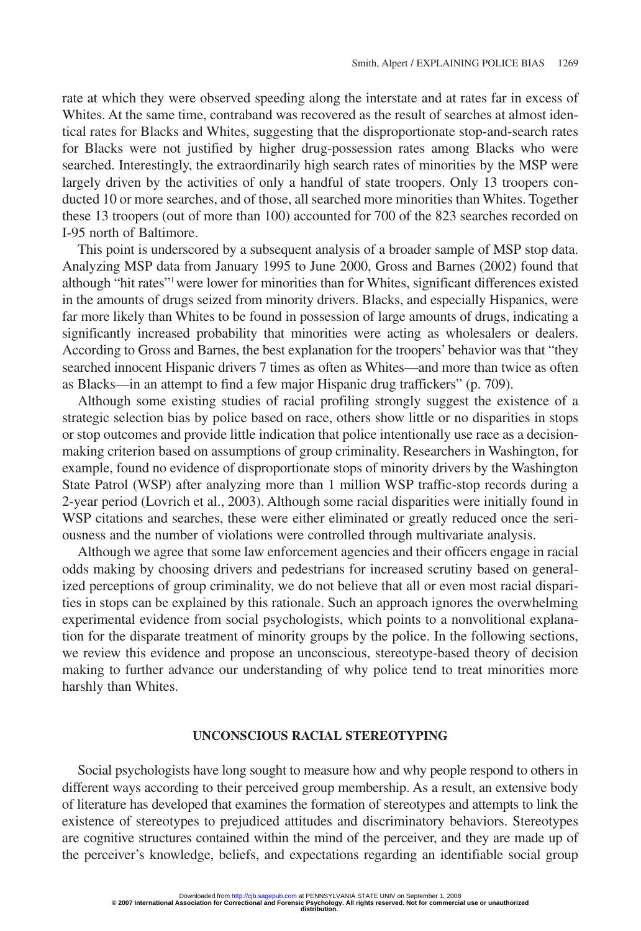rate at which they were observed speeding along the interstate and at rates far in excess of Whites. At the same time, contraband was recovered as the result of searches at almost identical rates for Blacks and Whites, suggesting that the disproportionate stop-and-search rates for Blacks were not justified by higher drug-possession rates among Blacks who were searched. Interestingly, the extraordinarily high search rates of minorities by the MSP were largely driven by the activities of only a handful of state troopers. Only 13 troopers conducted 10 or more searches, and of those, all searched more minorities than Whites. Together these 13 troopers (out of more than 100) accounted for 700 of the 823 searches recorded on I-95 north of Baltimore.

This point is underscored by a subsequent analysis of a broader sample of MSP stop data. Analyzing MSP data from January 1995 to June 2000, Gross and Barnes (2002) found that although "hit rates"1 were lower for minorities than for Whites, significant differences existed in the amounts of drugs seized from minority drivers. Blacks, and especially Hispanics, were far more likely than Whites to be found in possession of large amounts of drugs, indicating a significantly increased probability that minorities were acting as wholesalers or dealers. According to Gross and Barnes, the best explanation for the troopers' behavior was that "they searched innocent Hispanic drivers 7 times as often as Whites—and more than twice as often as Blacks—in an attempt to find a few major Hispanic drug traffickers" (p. 709).

Although some existing studies of racial profiling strongly suggest the existence of a strategic selection bias by police based on race, others show little or no disparities in stops or stop outcomes and provide little indication that police intentionally use race as a decisionmaking criterion based on assumptions of group criminality. Researchers in Washington, for example, found no evidence of disproportionate stops of minority drivers by the Washington State Patrol (WSP) after analyzing more than 1 million WSP traffic-stop records during a 2-year period (Lovrich et al., 2003). Although some racial disparities were initially found in WSP citations and searches, these were either eliminated or greatly reduced once the seriousness and the number of violations were controlled through multivariate analysis.

Although we agree that some law enforcement agencies and their officers engage in racial odds making by choosing drivers and pedestrians for increased scrutiny based on generalized perceptions of group criminality, we do not believe that all or even most racial disparities in stops can be explained by this rationale. Such an approach ignores the overwhelming experimental evidence from social psychologists, which points to a nonvolitional explanation for the disparate treatment of minority groups by the police. In the following sections, we review this evidence and propose an unconscious, stereotype-based theory of decision making to further advance our understanding of why police tend to treat minorities more harshly than Whites.

### **UNCONSCIOUS RACIAL STEREOTYPING**

Social psychologists have long sought to measure how and why people respond to others in different ways according to their perceived group membership. As a result, an extensive body of literature has developed tha[t examines th](http://cjb.sagepub.com)e formation of stereotypes and attempts to link the existence of stereotypes to prejudiced attitudes and discriminatory behaviors. Stereotypes are cognitive structures contained within the mind of the perceiver, and they are made up of the perceiver's knowledge, beliefs, and expectations regarding an identifiable social group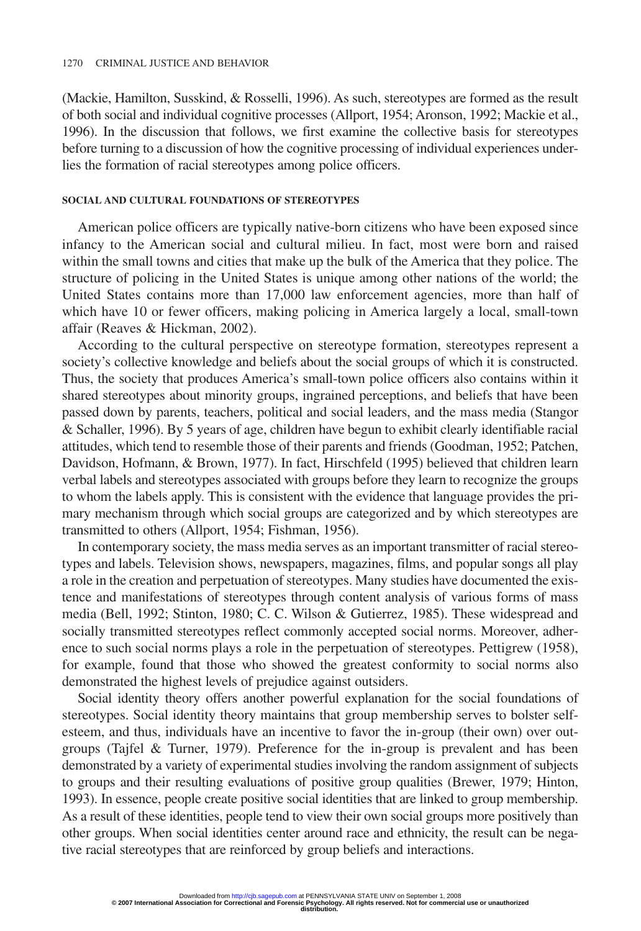(Mackie, Hamilton, Susskind, & Rosselli, 1996). As such, stereotypes are formed as the result of both social and individual cognitive processes (Allport, 1954; Aronson, 1992; Mackie et al., 1996). In the discussion that follows, we first examine the collective basis for stereotypes before turning to a discussion of how the cognitive processing of individual experiences underlies the formation of racial stereotypes among police officers.

#### **SOCIAL AND CULTURAL FOUNDATIONS OF STEREOTYPES**

American police officers are typically native-born citizens who have been exposed since infancy to the American social and cultural milieu. In fact, most were born and raised within the small towns and cities that make up the bulk of the America that they police. The structure of policing in the United States is unique among other nations of the world; the United States contains more than 17,000 law enforcement agencies, more than half of which have 10 or fewer officers, making policing in America largely a local, small-town affair (Reaves & Hickman, 2002).

According to the cultural perspective on stereotype formation, stereotypes represent a society's collective knowledge and beliefs about the social groups of which it is constructed. Thus, the society that produces America's small-town police officers also contains within it shared stereotypes about minority groups, ingrained perceptions, and beliefs that have been passed down by parents, teachers, political and social leaders, and the mass media (Stangor & Schaller, 1996). By 5 years of age, children have begun to exhibit clearly identifiable racial attitudes, which tend to resemble those of their parents and friends (Goodman, 1952; Patchen, Davidson, Hofmann, & Brown, 1977). In fact, Hirschfeld (1995) believed that children learn verbal labels and stereotypes associated with groups before they learn to recognize the groups to whom the labels apply. This is consistent with the evidence that language provides the primary mechanism through which social groups are categorized and by which stereotypes are transmitted to others (Allport, 1954; Fishman, 1956).

In contemporary society, the mass media serves as an important transmitter of racial stereotypes and labels. Television shows, newspapers, magazines, films, and popular songs all play a role in the creation and perpetuation of stereotypes. Many studies have documented the existence and manifestations of stereotypes through content analysis of various forms of mass media (Bell, 1992; Stinton, 1980; C. C. Wilson & Gutierrez, 1985). These widespread and socially transmitted stereotypes reflect commonly accepted social norms. Moreover, adherence to such social norms plays a role in the perpetuation of stereotypes. Pettigrew (1958), for example, found that those who showed the greatest conformity to social norms also demonstrated the highest levels of prejudice against outsiders.

Social identity theory offers another powerful explanation for the social foundations of stereotypes. Social identity theory maintains that group membership serves to bolster selfesteem, and thus, individuals have an incentive to favor the in-group (their own) over outgroups (Tajfel & Turner, 1979). Preference for the in-group is prevalent and has been demonstrated by a variety of experimental studies involving the random assignment of subjects to groups and their resulting evaluations of positive group qualities (Brewer, 1979; Hinton, 1993). In essence, people crea[te positive so](http://cjb.sagepub.com)cial identities that are linked to group membership. As a result of these identities, people tend to view their own social groups more positively than other groups. When social identities center around race and ethnicity, the result can be negative racial stereotypes that are reinforced by group beliefs and interactions.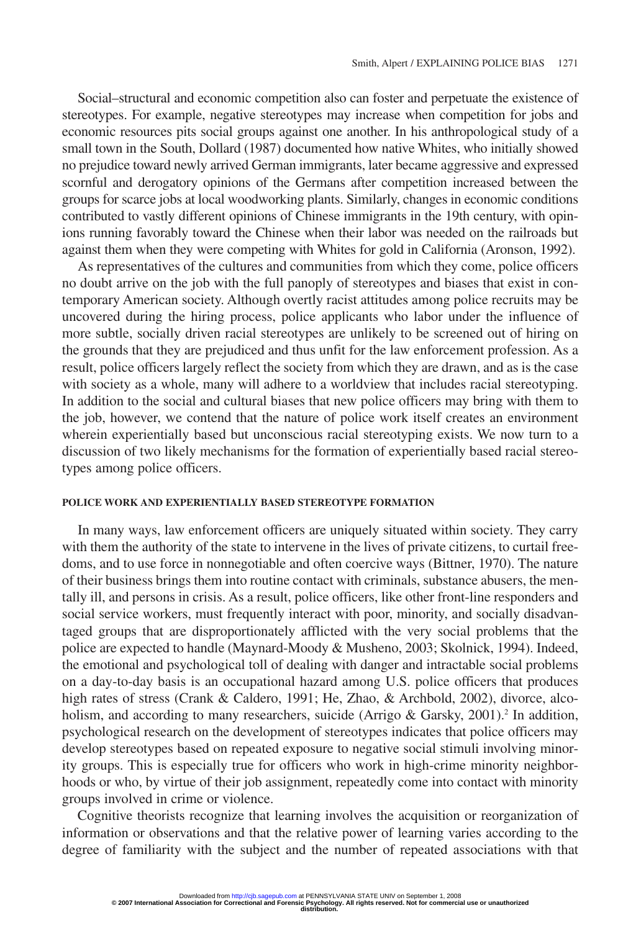Social–structural and economic competition also can foster and perpetuate the existence of stereotypes. For example, negative stereotypes may increase when competition for jobs and economic resources pits social groups against one another. In his anthropological study of a small town in the South, Dollard (1987) documented how native Whites, who initially showed no prejudice toward newly arrived German immigrants, later became aggressive and expressed scornful and derogatory opinions of the Germans after competition increased between the groups for scarce jobs at local woodworking plants. Similarly, changes in economic conditions contributed to vastly different opinions of Chinese immigrants in the 19th century, with opinions running favorably toward the Chinese when their labor was needed on the railroads but against them when they were competing with Whites for gold in California (Aronson, 1992).

As representatives of the cultures and communities from which they come, police officers no doubt arrive on the job with the full panoply of stereotypes and biases that exist in contemporary American society. Although overtly racist attitudes among police recruits may be uncovered during the hiring process, police applicants who labor under the influence of more subtle, socially driven racial stereotypes are unlikely to be screened out of hiring on the grounds that they are prejudiced and thus unfit for the law enforcement profession. As a result, police officers largely reflect the society from which they are drawn, and as is the case with society as a whole, many will adhere to a worldview that includes racial stereotyping. In addition to the social and cultural biases that new police officers may bring with them to the job, however, we contend that the nature of police work itself creates an environment wherein experientially based but unconscious racial stereotyping exists. We now turn to a discussion of two likely mechanisms for the formation of experientially based racial stereotypes among police officers.

#### **POLICE WORK AND EXPERIENTIALLY BASED STEREOTYPE FORMATION**

In many ways, law enforcement officers are uniquely situated within society. They carry with them the authority of the state to intervene in the lives of private citizens, to curtail freedoms, and to use force in nonnegotiable and often coercive ways (Bittner, 1970). The nature of their business brings them into routine contact with criminals, substance abusers, the mentally ill, and persons in crisis. As a result, police officers, like other front-line responders and social service workers, must frequently interact with poor, minority, and socially disadvantaged groups that are disproportionately afflicted with the very social problems that the police are expected to handle (Maynard-Moody & Musheno, 2003; Skolnick, 1994). Indeed, the emotional and psychological toll of dealing with danger and intractable social problems on a day-to-day basis is an occupational hazard among U.S. police officers that produces high rates of stress (Crank & Caldero, 1991; He, Zhao, & Archbold, 2002), divorce, alcoholism, and according to many researchers, suicide (Arrigo & Garsky, 2001).<sup>2</sup> In addition, psychological research on the development of stereotypes indicates that police officers may develop stereotypes based on repeated exposure to negative social stimuli involving minority groups. This is especially true for officers who work in high-crime minority neighborhoods or who, by virtue of their job assignment, repeatedly come into contact with minority groups involved in crime or v[iolence.](http://cjb.sagepub.com)

Cognitive theorists recognize that learning involves the acquisition or reorganization of information or observations and that the relative power of learning varies according to the degree of familiarity with the subject and the number of repeated associations with that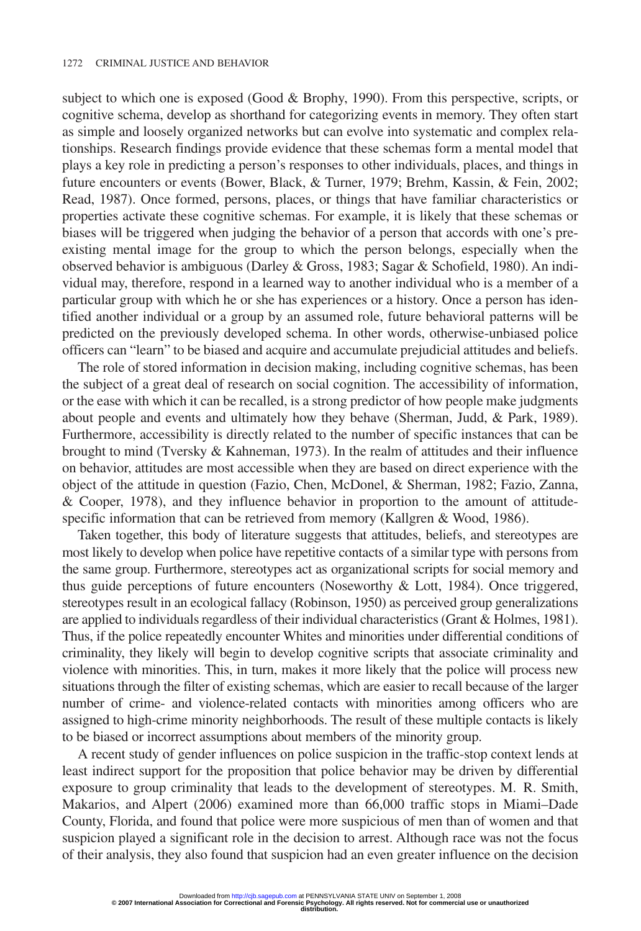subject to which one is exposed (Good & Brophy, 1990). From this perspective, scripts, or cognitive schema, develop as shorthand for categorizing events in memory. They often start as simple and loosely organized networks but can evolve into systematic and complex relationships. Research findings provide evidence that these schemas form a mental model that plays a key role in predicting a person's responses to other individuals, places, and things in future encounters or events (Bower, Black, & Turner, 1979; Brehm, Kassin, & Fein, 2002; Read, 1987). Once formed, persons, places, or things that have familiar characteristics or properties activate these cognitive schemas. For example, it is likely that these schemas or biases will be triggered when judging the behavior of a person that accords with one's preexisting mental image for the group to which the person belongs, especially when the observed behavior is ambiguous (Darley & Gross, 1983; Sagar & Schofield, 1980). An individual may, therefore, respond in a learned way to another individual who is a member of a particular group with which he or she has experiences or a history. Once a person has identified another individual or a group by an assumed role, future behavioral patterns will be predicted on the previously developed schema. In other words, otherwise-unbiased police officers can "learn" to be biased and acquire and accumulate prejudicial attitudes and beliefs.

The role of stored information in decision making, including cognitive schemas, has been the subject of a great deal of research on social cognition. The accessibility of information, or the ease with which it can be recalled, is a strong predictor of how people make judgments about people and events and ultimately how they behave (Sherman, Judd, & Park, 1989). Furthermore, accessibility is directly related to the number of specific instances that can be brought to mind (Tversky & Kahneman, 1973). In the realm of attitudes and their influence on behavior, attitudes are most accessible when they are based on direct experience with the object of the attitude in question (Fazio, Chen, McDonel, & Sherman, 1982; Fazio, Zanna, & Cooper, 1978), and they influence behavior in proportion to the amount of attitudespecific information that can be retrieved from memory (Kallgren & Wood, 1986).

Taken together, this body of literature suggests that attitudes, beliefs, and stereotypes are most likely to develop when police have repetitive contacts of a similar type with persons from the same group. Furthermore, stereotypes act as organizational scripts for social memory and thus guide perceptions of future encounters (Noseworthy  $\&$  Lott, 1984). Once triggered, stereotypes result in an ecological fallacy (Robinson, 1950) as perceived group generalizations are applied to individuals regardless of their individual characteristics (Grant & Holmes, 1981). Thus, if the police repeatedly encounter Whites and minorities under differential conditions of criminality, they likely will begin to develop cognitive scripts that associate criminality and violence with minorities. This, in turn, makes it more likely that the police will process new situations through the filter of existing schemas, which are easier to recall because of the larger number of crime- and violence-related contacts with minorities among officers who are assigned to high-crime minority neighborhoods. The result of these multiple contacts is likely to be biased or incorrect assumptions about members of the minority group.

A recent study of gender influences on police suspicion in the traffic-stop context lends at least indirect support for the proposition that police behavior may be driven by differential exposure to group criminality that leads to the development of stereotypes. M. R. Smith, Makarios, and Alpert (2006[\) examined](http://cjb.sagepub.com) more than 66,000 traffic stops in Miami–Dade County, Florida, and found that police were more suspicious of men than of women and that suspicion played a significant role in the decision to arrest. Although race was not the focus of their analysis, they also found that suspicion had an even greater influence on the decision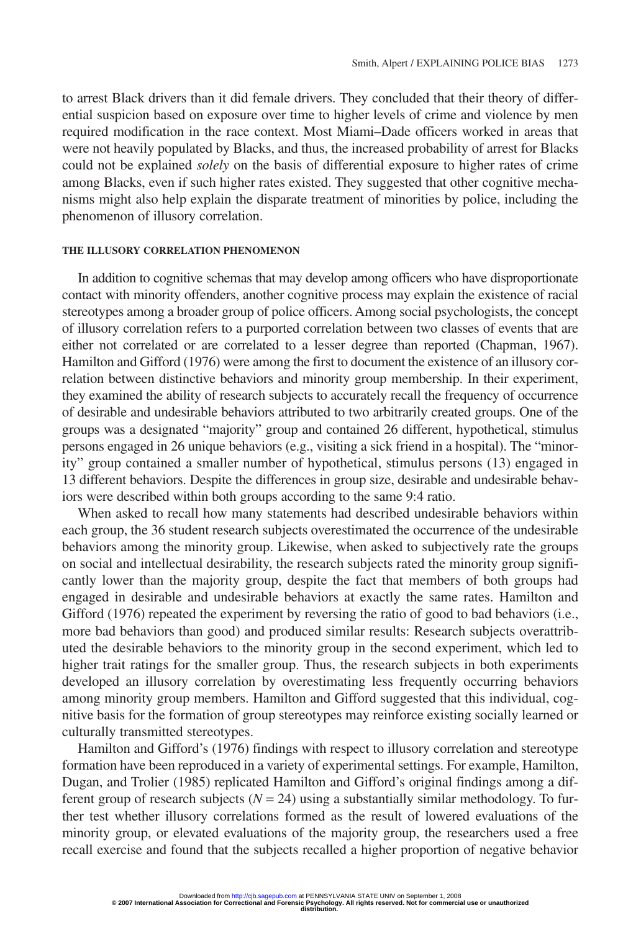to arrest Black drivers than it did female drivers. They concluded that their theory of differential suspicion based on exposure over time to higher levels of crime and violence by men required modification in the race context. Most Miami–Dade officers worked in areas that were not heavily populated by Blacks, and thus, the increased probability of arrest for Blacks could not be explained *solely* on the basis of differential exposure to higher rates of crime among Blacks, even if such higher rates existed. They suggested that other cognitive mechanisms might also help explain the disparate treatment of minorities by police, including the phenomenon of illusory correlation.

# **THE ILLUSORY CORRELATION PHENOMENON**

In addition to cognitive schemas that may develop among officers who have disproportionate contact with minority offenders, another cognitive process may explain the existence of racial stereotypes among a broader group of police officers. Among social psychologists, the concept of illusory correlation refers to a purported correlation between two classes of events that are either not correlated or are correlated to a lesser degree than reported (Chapman, 1967). Hamilton and Gifford (1976) were among the first to document the existence of an illusory correlation between distinctive behaviors and minority group membership. In their experiment, they examined the ability of research subjects to accurately recall the frequency of occurrence of desirable and undesirable behaviors attributed to two arbitrarily created groups. One of the groups was a designated "majority" group and contained 26 different, hypothetical, stimulus persons engaged in 26 unique behaviors (e.g., visiting a sick friend in a hospital). The "minority" group contained a smaller number of hypothetical, stimulus persons (13) engaged in 13 different behaviors. Despite the differences in group size, desirable and undesirable behaviors were described within both groups according to the same 9:4 ratio.

When asked to recall how many statements had described undesirable behaviors within each group, the 36 student research subjects overestimated the occurrence of the undesirable behaviors among the minority group. Likewise, when asked to subjectively rate the groups on social and intellectual desirability, the research subjects rated the minority group significantly lower than the majority group, despite the fact that members of both groups had engaged in desirable and undesirable behaviors at exactly the same rates. Hamilton and Gifford (1976) repeated the experiment by reversing the ratio of good to bad behaviors (i.e., more bad behaviors than good) and produced similar results: Research subjects overattributed the desirable behaviors to the minority group in the second experiment, which led to higher trait ratings for the smaller group. Thus, the research subjects in both experiments developed an illusory correlation by overestimating less frequently occurring behaviors among minority group members. Hamilton and Gifford suggested that this individual, cognitive basis for the formation of group stereotypes may reinforce existing socially learned or culturally transmitted stereotypes.

Hamilton and Gifford's (1976) findings with respect to illusory correlation and stereotype formation have been reproduced in a variety of experimental settings. For example, Hamilton, Dugan, and Trolier (1985) replicated Hamilton and Gifford's original findings among a different group of research subjects  $(N = 24)$  using a substantially similar methodology. To further test whether illusory correlations formed as the result of lowered evaluations of the minority group, or elevated evaluations of the majority group, the researchers used a free recall exercise and found that the subjects recalled a higher proportion of negative behavior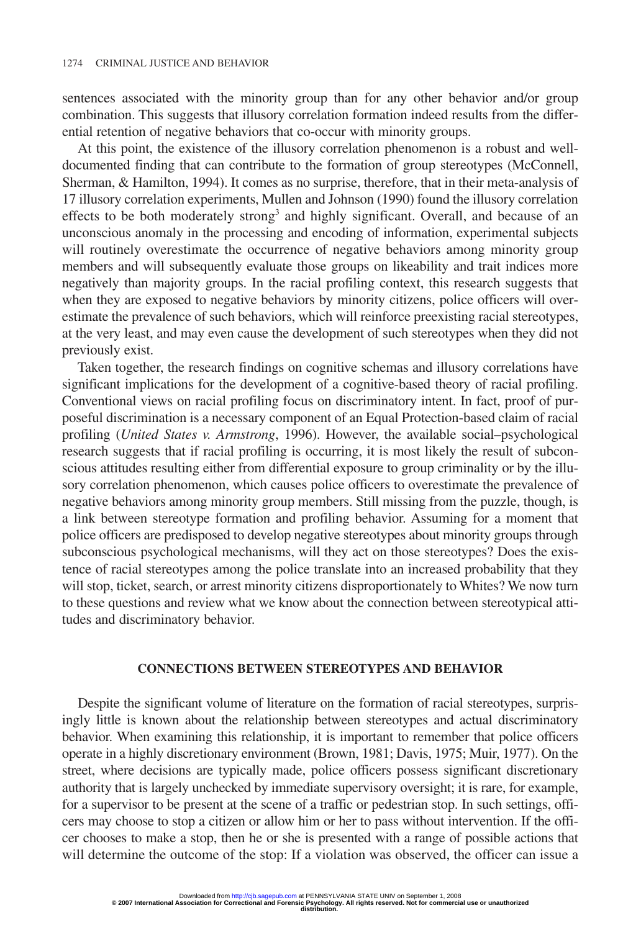sentences associated with the minority group than for any other behavior and/or group combination. This suggests that illusory correlation formation indeed results from the differential retention of negative behaviors that co-occur with minority groups.

At this point, the existence of the illusory correlation phenomenon is a robust and welldocumented finding that can contribute to the formation of group stereotypes (McConnell, Sherman, & Hamilton, 1994). It comes as no surprise, therefore, that in their meta-analysis of 17 illusory correlation experiments, Mullen and Johnson (1990) found the illusory correlation effects to be both moderately strong<sup>3</sup> and highly significant. Overall, and because of an unconscious anomaly in the processing and encoding of information, experimental subjects will routinely overestimate the occurrence of negative behaviors among minority group members and will subsequently evaluate those groups on likeability and trait indices more negatively than majority groups. In the racial profiling context, this research suggests that when they are exposed to negative behaviors by minority citizens, police officers will overestimate the prevalence of such behaviors, which will reinforce preexisting racial stereotypes, at the very least, and may even cause the development of such stereotypes when they did not previously exist.

Taken together, the research findings on cognitive schemas and illusory correlations have significant implications for the development of a cognitive-based theory of racial profiling. Conventional views on racial profiling focus on discriminatory intent. In fact, proof of purposeful discrimination is a necessary component of an Equal Protection-based claim of racial profiling (*United States v. Armstrong*, 1996). However, the available social–psychological research suggests that if racial profiling is occurring, it is most likely the result of subconscious attitudes resulting either from differential exposure to group criminality or by the illusory correlation phenomenon, which causes police officers to overestimate the prevalence of negative behaviors among minority group members. Still missing from the puzzle, though, is a link between stereotype formation and profiling behavior. Assuming for a moment that police officers are predisposed to develop negative stereotypes about minority groups through subconscious psychological mechanisms, will they act on those stereotypes? Does the existence of racial stereotypes among the police translate into an increased probability that they will stop, ticket, search, or arrest minority citizens disproportionately to Whites? We now turn to these questions and review what we know about the connection between stereotypical attitudes and discriminatory behavior.

# **CONNECTIONS BETWEEN STEREOTYPES AND BEHAVIOR**

Despite the significant volume of literature on the formation of racial stereotypes, surprisingly little is known about the relationship between stereotypes and actual discriminatory behavior. When examining this relationship, it is important to remember that police officers operate in a highly discretionary environment (Brown, 1981; Davis, 1975; Muir, 1977). On the street, where decisions are typically made, police officers possess significant discretionary authority that is largely unchecked by immediate supervisory oversight; it is rare, for example, for a supervisor to be present [at the scene o](http://cjb.sagepub.com)f a traffic or pedestrian stop. In such settings, officers may choose to stop a citizen or allow him or her to pass without intervention. If the officer chooses to make a stop, then he or she is presented with a range of possible actions that will determine the outcome of the stop: If a violation was observed, the officer can issue a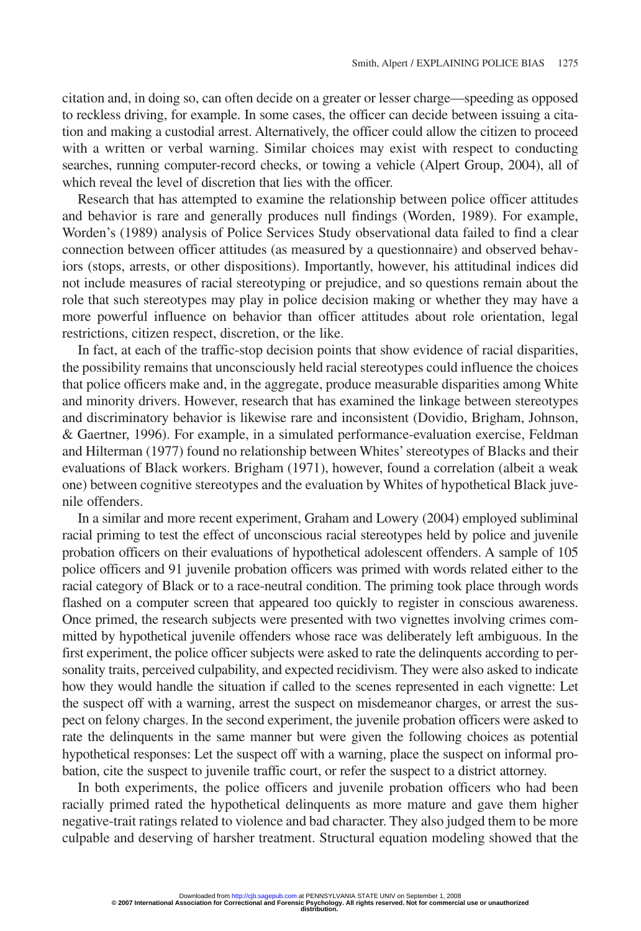citation and, in doing so, can often decide on a greater or lesser charge—speeding as opposed to reckless driving, for example. In some cases, the officer can decide between issuing a citation and making a custodial arrest. Alternatively, the officer could allow the citizen to proceed with a written or verbal warning. Similar choices may exist with respect to conducting searches, running computer-record checks, or towing a vehicle (Alpert Group, 2004), all of which reveal the level of discretion that lies with the officer.

Research that has attempted to examine the relationship between police officer attitudes and behavior is rare and generally produces null findings (Worden, 1989). For example, Worden's (1989) analysis of Police Services Study observational data failed to find a clear connection between officer attitudes (as measured by a questionnaire) and observed behaviors (stops, arrests, or other dispositions). Importantly, however, his attitudinal indices did not include measures of racial stereotyping or prejudice, and so questions remain about the role that such stereotypes may play in police decision making or whether they may have a more powerful influence on behavior than officer attitudes about role orientation, legal restrictions, citizen respect, discretion, or the like.

In fact, at each of the traffic-stop decision points that show evidence of racial disparities, the possibility remains that unconsciously held racial stereotypes could influence the choices that police officers make and, in the aggregate, produce measurable disparities among White and minority drivers. However, research that has examined the linkage between stereotypes and discriminatory behavior is likewise rare and inconsistent (Dovidio, Brigham, Johnson, & Gaertner, 1996). For example, in a simulated performance-evaluation exercise, Feldman and Hilterman (1977) found no relationship between Whites' stereotypes of Blacks and their evaluations of Black workers. Brigham (1971), however, found a correlation (albeit a weak one) between cognitive stereotypes and the evaluation by Whites of hypothetical Black juvenile offenders.

In a similar and more recent experiment, Graham and Lowery (2004) employed subliminal racial priming to test the effect of unconscious racial stereotypes held by police and juvenile probation officers on their evaluations of hypothetical adolescent offenders. A sample of 105 police officers and 91 juvenile probation officers was primed with words related either to the racial category of Black or to a race-neutral condition. The priming took place through words flashed on a computer screen that appeared too quickly to register in conscious awareness. Once primed, the research subjects were presented with two vignettes involving crimes committed by hypothetical juvenile offenders whose race was deliberately left ambiguous. In the first experiment, the police officer subjects were asked to rate the delinquents according to personality traits, perceived culpability, and expected recidivism. They were also asked to indicate how they would handle the situation if called to the scenes represented in each vignette: Let the suspect off with a warning, arrest the suspect on misdemeanor charges, or arrest the suspect on felony charges. In the second experiment, the juvenile probation officers were asked to rate the delinquents in the same manner but were given the following choices as potential hypothetical responses: Let the suspect off with a warning, place the suspect on informal probation, cite the suspect to juvenile traffic court, or refer the suspect to a district attorney.

In both experiments, the police officers and juvenile probation officers who had been racially primed rated the hy[pothetical de](http://cjb.sagepub.com)linquents as more mature and gave them higher negative-trait ratings related to violence and bad character. They also judged them to be more culpable and deserving of harsher treatment. Structural equation modeling showed that the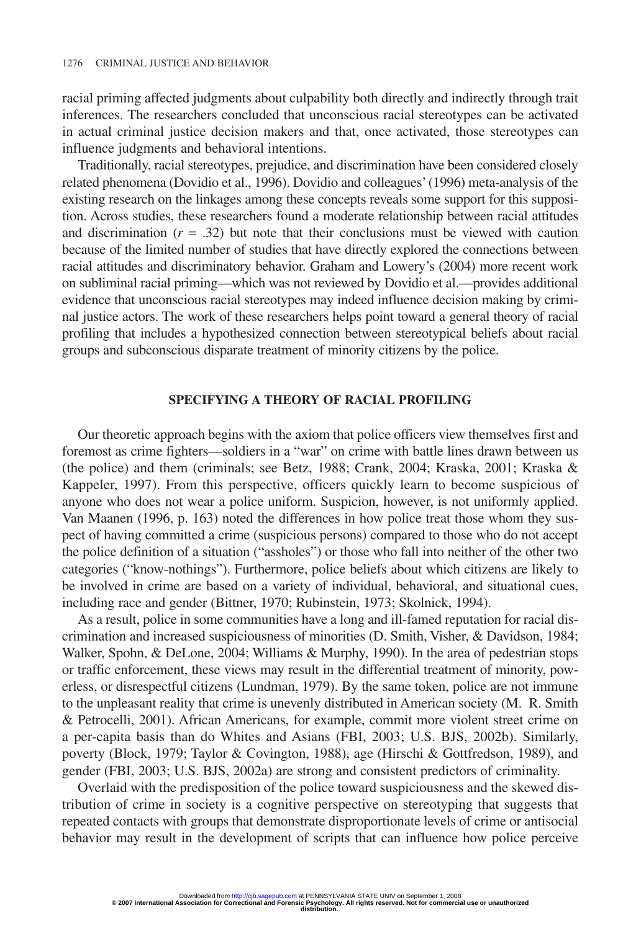racial priming affected judgments about culpability both directly and indirectly through trait inferences. The researchers concluded that unconscious racial stereotypes can be activated in actual criminal justice decision makers and that, once activated, those stereotypes can influence judgments and behavioral intentions.

Traditionally, racial stereotypes, prejudice, and discrimination have been considered closely related phenomena (Dovidio et al., 1996). Dovidio and colleagues' (1996) meta-analysis of the existing research on the linkages among these concepts reveals some support for this supposition. Across studies, these researchers found a moderate relationship between racial attitudes and discrimination  $(r = .32)$  but note that their conclusions must be viewed with caution because of the limited number of studies that have directly explored the connections between racial attitudes and discriminatory behavior. Graham and Lowery's (2004) more recent work on subliminal racial priming—which was not reviewed by Dovidio et al.—provides additional evidence that unconscious racial stereotypes may indeed influence decision making by criminal justice actors. The work of these researchers helps point toward a general theory of racial profiling that includes a hypothesized connection between stereotypical beliefs about racial groups and subconscious disparate treatment of minority citizens by the police.

# **SPECIFYING A THEORY OF RACIAL PROFILING**

Our theoretic approach begins with the axiom that police officers view themselves first and foremost as crime fighters—soldiers in a "war" on crime with battle lines drawn between us (the police) and them (criminals; see Betz, 1988; Crank, 2004; Kraska, 2001; Kraska & Kappeler, 1997). From this perspective, officers quickly learn to become suspicious of anyone who does not wear a police uniform. Suspicion, however, is not uniformly applied. Van Maanen (1996, p. 163) noted the differences in how police treat those whom they suspect of having committed a crime (suspicious persons) compared to those who do not accept the police definition of a situation ("assholes") or those who fall into neither of the other two categories ("know-nothings"). Furthermore, police beliefs about which citizens are likely to be involved in crime are based on a variety of individual, behavioral, and situational cues, including race and gender (Bittner, 1970; Rubinstein, 1973; Skolnick, 1994).

As a result, police in some communities have a long and ill-famed reputation for racial discrimination and increased suspiciousness of minorities (D. Smith, Visher, & Davidson, 1984; Walker, Spohn, & DeLone, 2004; Williams & Murphy, 1990). In the area of pedestrian stops or traffic enforcement, these views may result in the differential treatment of minority, powerless, or disrespectful citizens (Lundman, 1979). By the same token, police are not immune to the unpleasant reality that crime is unevenly distributed in American society (M. R. Smith & Petrocelli, 2001). African Americans, for example, commit more violent street crime on a per-capita basis than do Whites and Asians (FBI, 2003; U.S. BJS, 2002b). Similarly, poverty (Block, 1979; Taylor & Covington, 1988), age (Hirschi & Gottfredson, 1989), and gender (FBI, 2003; U.S. BJS, 2002a) are strong and consistent predictors of criminality.

Overlaid with the predisposition of the police toward suspiciousness and the skewed distribution of crime in society [is a cognitiv](http://cjb.sagepub.com)e perspective on stereotyping that suggests that repeated contacts with groups that demonstrate disproportionate levels of crime or antisocial behavior may result in the development of scripts that can influence how police perceive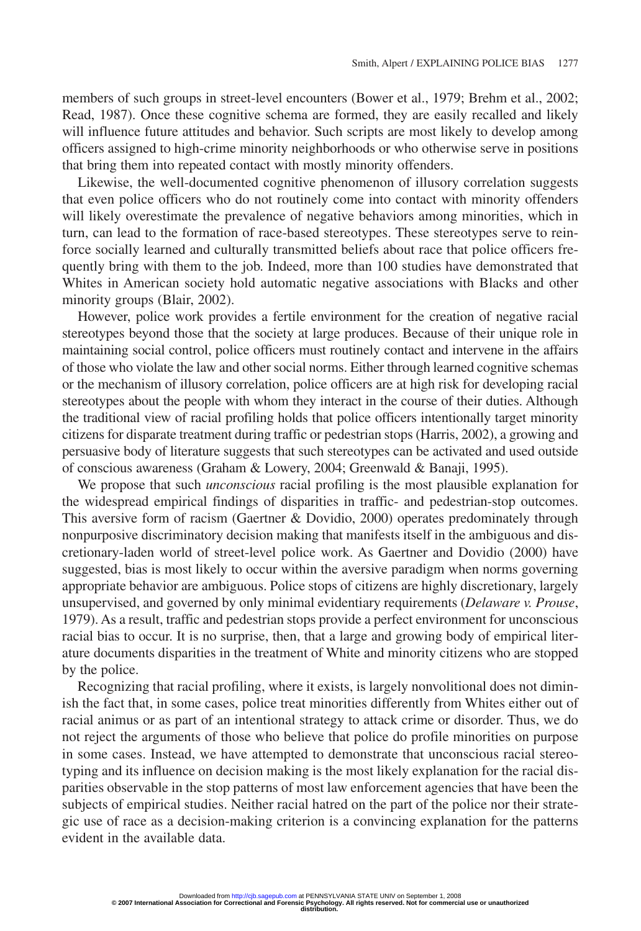members of such groups in street-level encounters (Bower et al., 1979; Brehm et al., 2002; Read, 1987). Once these cognitive schema are formed, they are easily recalled and likely will influence future attitudes and behavior. Such scripts are most likely to develop among officers assigned to high-crime minority neighborhoods or who otherwise serve in positions that bring them into repeated contact with mostly minority offenders.

Likewise, the well-documented cognitive phenomenon of illusory correlation suggests that even police officers who do not routinely come into contact with minority offenders will likely overestimate the prevalence of negative behaviors among minorities, which in turn, can lead to the formation of race-based stereotypes. These stereotypes serve to reinforce socially learned and culturally transmitted beliefs about race that police officers frequently bring with them to the job. Indeed, more than 100 studies have demonstrated that Whites in American society hold automatic negative associations with Blacks and other minority groups (Blair, 2002).

However, police work provides a fertile environment for the creation of negative racial stereotypes beyond those that the society at large produces. Because of their unique role in maintaining social control, police officers must routinely contact and intervene in the affairs of those who violate the law and other social norms. Either through learned cognitive schemas or the mechanism of illusory correlation, police officers are at high risk for developing racial stereotypes about the people with whom they interact in the course of their duties. Although the traditional view of racial profiling holds that police officers intentionally target minority citizens for disparate treatment during traffic or pedestrian stops (Harris, 2002), a growing and persuasive body of literature suggests that such stereotypes can be activated and used outside of conscious awareness (Graham & Lowery, 2004; Greenwald & Banaji, 1995).

We propose that such *unconscious* racial profiling is the most plausible explanation for the widespread empirical findings of disparities in traffic- and pedestrian-stop outcomes. This aversive form of racism (Gaertner & Dovidio, 2000) operates predominately through nonpurposive discriminatory decision making that manifests itself in the ambiguous and discretionary-laden world of street-level police work. As Gaertner and Dovidio (2000) have suggested, bias is most likely to occur within the aversive paradigm when norms governing appropriate behavior are ambiguous. Police stops of citizens are highly discretionary, largely unsupervised, and governed by only minimal evidentiary requirements (*Delaware v. Prouse*, 1979). As a result, traffic and pedestrian stops provide a perfect environment for unconscious racial bias to occur. It is no surprise, then, that a large and growing body of empirical literature documents disparities in the treatment of White and minority citizens who are stopped by the police.

Recognizing that racial profiling, where it exists, is largely nonvolitional does not diminish the fact that, in some cases, police treat minorities differently from Whites either out of racial animus or as part of an intentional strategy to attack crime or disorder. Thus, we do not reject the arguments of those who believe that police do profile minorities on purpose in some cases. Instead, we have attempted to demonstrate that unconscious racial stereotyping and its influence on decision making is the most likely explanation for the racial disparities observable in the stop patterns of most law enforcement agencies that have been the subjects of empirical studies. [Neither raci](http://cjb.sagepub.com)al hatred on the part of the police nor their strategic use of race as a decision-making criterion is a convincing explanation for the patterns evident in the available data.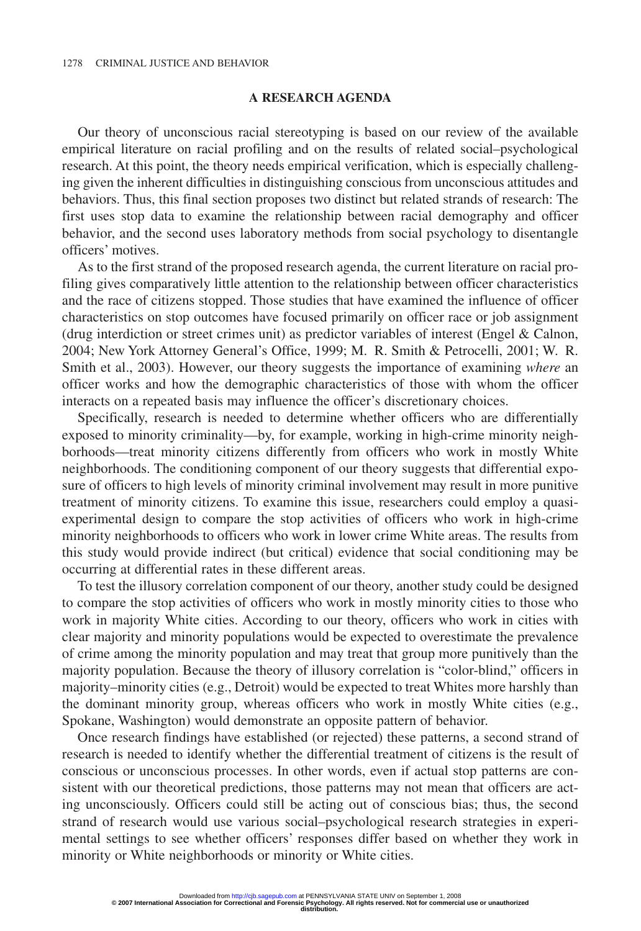# **A RESEARCH AGENDA**

Our theory of unconscious racial stereotyping is based on our review of the available empirical literature on racial profiling and on the results of related social–psychological research. At this point, the theory needs empirical verification, which is especially challenging given the inherent difficulties in distinguishing conscious from unconscious attitudes and behaviors. Thus, this final section proposes two distinct but related strands of research: The first uses stop data to examine the relationship between racial demography and officer behavior, and the second uses laboratory methods from social psychology to disentangle officers' motives.

As to the first strand of the proposed research agenda, the current literature on racial profiling gives comparatively little attention to the relationship between officer characteristics and the race of citizens stopped. Those studies that have examined the influence of officer characteristics on stop outcomes have focused primarily on officer race or job assignment (drug interdiction or street crimes unit) as predictor variables of interest (Engel & Calnon, 2004; New York Attorney General's Office, 1999; M. R. Smith & Petrocelli, 2001; W. R. Smith et al., 2003). However, our theory suggests the importance of examining *where* an officer works and how the demographic characteristics of those with whom the officer interacts on a repeated basis may influence the officer's discretionary choices.

Specifically, research is needed to determine whether officers who are differentially exposed to minority criminality—by, for example, working in high-crime minority neighborhoods—treat minority citizens differently from officers who work in mostly White neighborhoods. The conditioning component of our theory suggests that differential exposure of officers to high levels of minority criminal involvement may result in more punitive treatment of minority citizens. To examine this issue, researchers could employ a quasiexperimental design to compare the stop activities of officers who work in high-crime minority neighborhoods to officers who work in lower crime White areas. The results from this study would provide indirect (but critical) evidence that social conditioning may be occurring at differential rates in these different areas.

To test the illusory correlation component of our theory, another study could be designed to compare the stop activities of officers who work in mostly minority cities to those who work in majority White cities. According to our theory, officers who work in cities with clear majority and minority populations would be expected to overestimate the prevalence of crime among the minority population and may treat that group more punitively than the majority population. Because the theory of illusory correlation is "color-blind," officers in majority–minority cities (e.g., Detroit) would be expected to treat Whites more harshly than the dominant minority group, whereas officers who work in mostly White cities (e.g., Spokane, Washington) would demonstrate an opposite pattern of behavior.

Once research findings have established (or rejected) these patterns, a second strand of research is needed to identify whether the differential treatment of citizens is the result of conscious or unconscious processes. In other words, even if actual stop patterns are consistent with our theoretical predictions, those patterns may not mean that officers are acting unconsciously. Officers [could still be](http://cjb.sagepub.com) acting out of conscious bias; thus, the second strand of research would use various social–psychological research strategies in experimental settings to see whether officers' responses differ based on whether they work in minority or White neighborhoods or minority or White cities.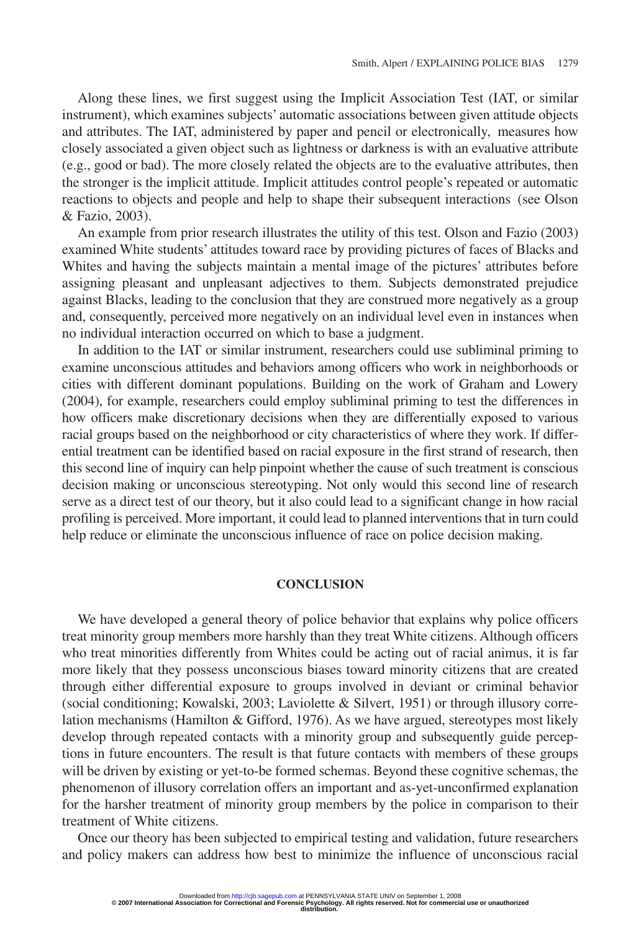Along these lines, we first suggest using the Implicit Association Test (IAT, or similar instrument), which examines subjects' automatic associations between given attitude objects and attributes. The IAT, administered by paper and pencil or electronically, measures how closely associated a given object such as lightness or darkness is with an evaluative attribute (e.g., good or bad). The more closely related the objects are to the evaluative attributes, then the stronger is the implicit attitude. Implicit attitudes control people's repeated or automatic reactions to objects and people and help to shape their subsequent interactions (see Olson & Fazio, 2003).

An example from prior research illustrates the utility of this test. Olson and Fazio (2003) examined White students' attitudes toward race by providing pictures of faces of Blacks and Whites and having the subjects maintain a mental image of the pictures' attributes before assigning pleasant and unpleasant adjectives to them. Subjects demonstrated prejudice against Blacks, leading to the conclusion that they are construed more negatively as a group and, consequently, perceived more negatively on an individual level even in instances when no individual interaction occurred on which to base a judgment.

In addition to the IAT or similar instrument, researchers could use subliminal priming to examine unconscious attitudes and behaviors among officers who work in neighborhoods or cities with different dominant populations. Building on the work of Graham and Lowery (2004), for example, researchers could employ subliminal priming to test the differences in how officers make discretionary decisions when they are differentially exposed to various racial groups based on the neighborhood or city characteristics of where they work. If differential treatment can be identified based on racial exposure in the first strand of research, then this second line of inquiry can help pinpoint whether the cause of such treatment is conscious decision making or unconscious stereotyping. Not only would this second line of research serve as a direct test of our theory, but it also could lead to a significant change in how racial profiling is perceived. More important, it could lead to planned interventions that in turn could help reduce or eliminate the unconscious influence of race on police decision making.

# **CONCLUSION**

We have developed a general theory of police behavior that explains why police officers treat minority group members more harshly than they treat White citizens. Although officers who treat minorities differently from Whites could be acting out of racial animus, it is far more likely that they possess unconscious biases toward minority citizens that are created through either differential exposure to groups involved in deviant or criminal behavior (social conditioning; Kowalski, 2003; Laviolette & Silvert, 1951) or through illusory correlation mechanisms (Hamilton & Gifford, 1976). As we have argued, stereotypes most likely develop through repeated contacts with a minority group and subsequently guide perceptions in future encounters. The result is that future contacts with members of these groups will be driven by existing or yet-to-be formed schemas. Beyond these cognitive schemas, the phenomenon of illusory correlation offers an important and as-yet-unconfirmed explanation for the harsher treatment of [minority grou](http://cjb.sagepub.com)p members by the police in comparison to their treatment of White citizens.

Once our theory has been subjected to empirical testing and validation, future researchers and policy makers can address how best to minimize the influence of unconscious racial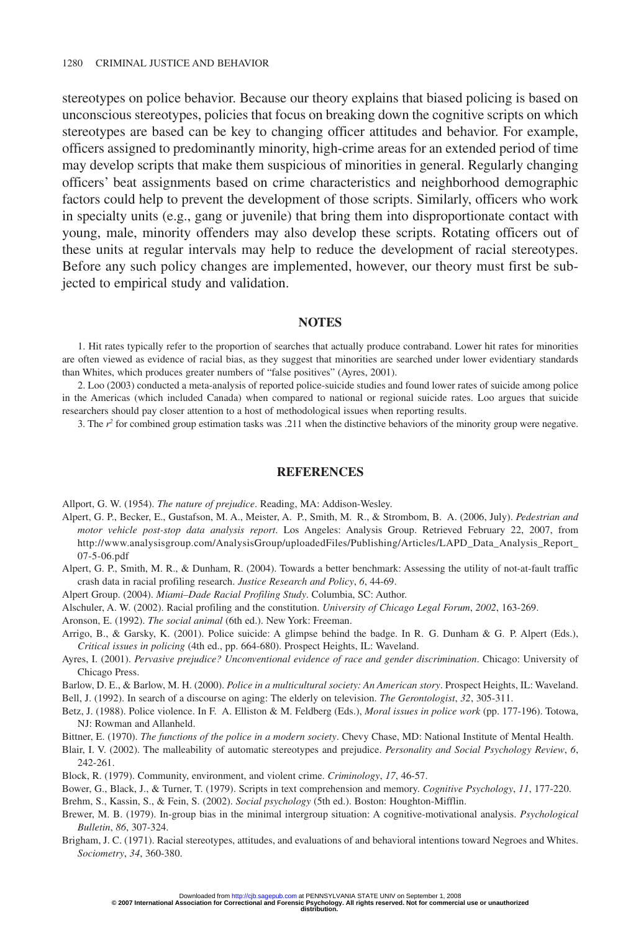stereotypes on police behavior. Because our theory explains that biased policing is based on unconscious stereotypes, policies that focus on breaking down the cognitive scripts on which stereotypes are based can be key to changing officer attitudes and behavior. For example, officers assigned to predominantly minority, high-crime areas for an extended period of time may develop scripts that make them suspicious of minorities in general. Regularly changing officers' beat assignments based on crime characteristics and neighborhood demographic factors could help to prevent the development of those scripts. Similarly, officers who work in specialty units (e.g., gang or juvenile) that bring them into disproportionate contact with young, male, minority offenders may also develop these scripts. Rotating officers out of these units at regular intervals may help to reduce the development of racial stereotypes. Before any such policy changes are implemented, however, our theory must first be subjected to empirical study and validation.

#### **NOTES**

1. Hit rates typically refer to the proportion of searches that actually produce contraband. Lower hit rates for minorities are often viewed as evidence of racial bias, as they suggest that minorities are searched under lower evidentiary standards than Whites, which produces greater numbers of "false positives" (Ayres, 2001).

2. Loo (2003) conducted a meta-analysis of reported police-suicide studies and found lower rates of suicide among police in the Americas (which included Canada) when compared to national or regional suicide rates. Loo argues that suicide researchers should pay closer attention to a host of methodological issues when reporting results.

3. The *r2* for combined group estimation tasks was .211 when the distinctive behaviors of the minority group were negative.

# **REFERENCES**

Allport, G. W. (1954). *The nature of prejudice*. Reading, MA: Addison-Wesley.

- Alpert, G. P., Becker, E., Gustafson, M. A., Meister, A. P., Smith, M. R., & Strombom, B. A. (2006, July). *Pedestrian and motor vehicle post-stop data analysis report*. Los Angeles: Analysis Group. Retrieved February 22, 2007, from http://www.analysisgroup.com/AnalysisGroup/uploadedFiles/Publishing/Articles/LAPD\_Data\_Analysis\_Report\_ 07-5-06.pdf
- Alpert, G. P., Smith, M. R., & Dunham, R. (2004). Towards a better benchmark: Assessing the utility of not-at-fault traffic crash data in racial profiling research. *Justice Research and Policy*, *6*, 44-69.
- Alpert Group. (2004). *Miami–Dade Racial Profiling Study*. Columbia, SC: Author.

Alschuler, A. W. (2002). Racial profiling and the constitution. *University of Chicago Legal Forum*, *2002*, 163-269.

Aronson, E. (1992). *The social animal* (6th ed.). New York: Freeman.

Arrigo, B., & Garsky, K. (2001). Police suicide: A glimpse behind the badge. In R. G. Dunham & G. P. Alpert (Eds.), *Critical issues in policing* (4th ed., pp. 664-680). Prospect Heights, IL: Waveland.

- Ayres, I. (2001). *Pervasive prejudice? Unconventional evidence of race and gender discrimination*. Chicago: University of Chicago Press.
- Barlow, D. E., & Barlow, M. H. (2000). *Police in a multicultural society: An American story*. Prospect Heights, IL: Waveland. Bell, J. (1992). In search of a discourse on aging: The elderly on television. *The Gerontologist*, *32*, 305-311.
- Betz, J. (1988). Police violence. In F. A. Elliston & M. Feldberg (Eds.), *Moral issues in police work* (pp. 177-196). Totowa, NJ: Rowman and Allanheld.
- Bittner, E. (1970). *The functions of the police in a modern society*. Chevy Chase, MD: National Institute of Mental Health.

Blair, I. V. (2002). The malleability of automatic stereotypes and prejudice. *Personality and Social Psychology Review*, *6*, 242-261.

- Block, R. (1979). Community, environment, and violent crime. *Criminology*, *17*, 46-57.
- Bower, G., Black, J., & Turner, T. (1979). Scripts in text comprehension and memory. *Cognitive Psychology*, *11*, 177-220. Brehm, S., Kassin, S., & Fein, S. (2002). *[Social psycholo](http://cjb.sagepub.com)gy* (5th ed.). Boston: Houghton-Mifflin.
- Brewer, M. B. (1979). In-group bias in the minimal intergroup situation: A cognitive-motivational analysis. *Psychological Bulletin*, *86*, 307-324.
- Brigham, J. C. (1971). Racial stereotypes, attitudes, and evaluations of and behavioral intentions toward Negroes and Whites. *Sociometry*, *34*, 360-380.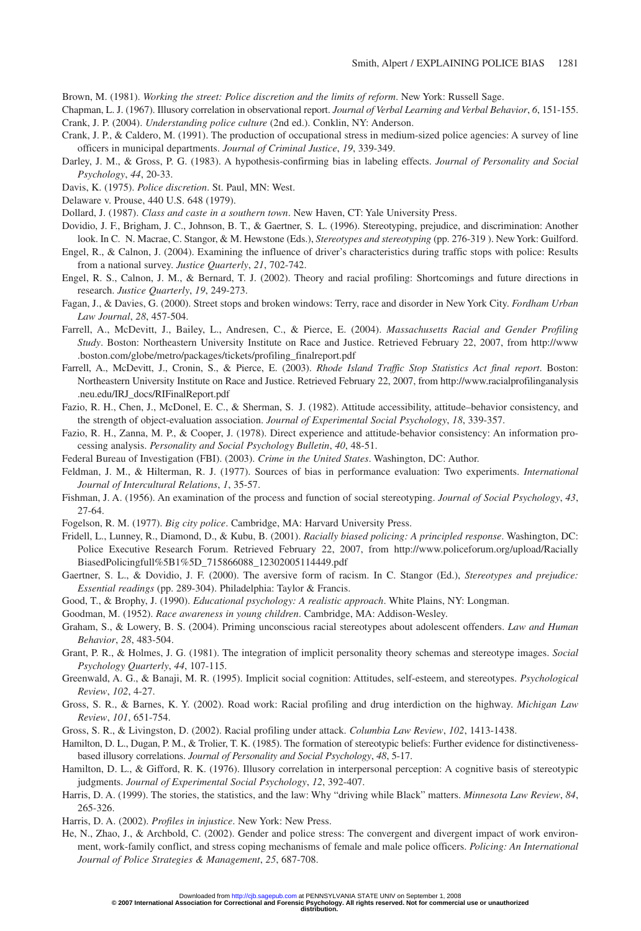Brown, M. (1981). *Working the street: Police discretion and the limits of reform*. New York: Russell Sage.

- Chapman, L. J. (1967). Illusory correlation in observational report. *Journal of Verbal Learning and Verbal Behavior*, *6*, 151-155. Crank, J. P. (2004). *Understanding police culture* (2nd ed.). Conklin, NY: Anderson.
- Crank, J. P., & Caldero, M. (1991). The production of occupational stress in medium-sized police agencies: A survey of line officers in municipal departments. *Journal of Criminal Justice*, *19*, 339-349.
- Darley, J. M., & Gross, P. G. (1983). A hypothesis-confirming bias in labeling effects. *Journal of Personality and Social Psychology*, *44*, 20-33.

Davis, K. (1975). *Police discretion*. St. Paul, MN: West.

Delaware v. Prouse, 440 U.S. 648 (1979).

Dollard, J. (1987). *Class and caste in a southern town*. New Haven, CT: Yale University Press.

- Dovidio, J. F., Brigham, J. C., Johnson, B. T., & Gaertner, S. L. (1996). Stereotyping, prejudice, and discrimination: Another look. In C. N. Macrae, C. Stangor, & M. Hewstone (Eds.), *Stereotypes and stereotyping* (pp. 276-319 ). New York: Guilford.
- Engel, R., & Calnon, J. (2004). Examining the influence of driver's characteristics during traffic stops with police: Results from a national survey. *Justice Quarterly*, *21*, 702-742.
- Engel, R. S., Calnon, J. M., & Bernard, T. J. (2002). Theory and racial profiling: Shortcomings and future directions in research. *Justice Quarterly*, *19*, 249-273.

Fagan, J., & Davies, G. (2000). Street stops and broken windows: Terry, race and disorder in New York City. *Fordham Urban Law Journal*, *28*, 457-504.

- Farrell, A., McDevitt, J., Bailey, L., Andresen, C., & Pierce, E. (2004). *Massachusetts Racial and Gender Profiling Study*. Boston: Northeastern University Institute on Race and Justice. Retrieved February 22, 2007, from http://www .boston.com/globe/metro/packages/tickets/profiling\_finalreport.pdf
- Farrell, A., McDevitt, J., Cronin, S., & Pierce, E. (2003). *Rhode Island Traffic Stop Statistics Act final report*. Boston: Northeastern University Institute on Race and Justice. Retrieved February 22, 2007, from http://www.racialprofilinganalysis .neu.edu/IRJ\_docs/RIFinalReport.pdf
- Fazio, R. H., Chen, J., McDonel, E. C., & Sherman, S. J. (1982). Attitude accessibility, attitude–behavior consistency, and the strength of object-evaluation association. *Journal of Experimental Social Psychology*, *18*, 339-357.
- Fazio, R. H., Zanna, M. P., & Cooper, J. (1978). Direct experience and attitude-behavior consistency: An information processing analysis. *Personality and Social Psychology Bulletin*, *40*, 48-51.

Federal Bureau of Investigation (FBI). (2003). *Crime in the United States*. Washington, DC: Author.

- Feldman, J. M., & Hilterman, R. J. (1977). Sources of bias in performance evaluation: Two experiments. *International Journal of Intercultural Relations*, *1*, 35-57.
- Fishman, J. A. (1956). An examination of the process and function of social stereotyping. *Journal of Social Psychology*, *43*, 27-64.

Fogelson, R. M. (1977). *Big city police*. Cambridge, MA: Harvard University Press.

- Fridell, L., Lunney, R., Diamond, D., & Kubu, B. (2001). *Racially biased policing: A principled response*. Washington, DC: Police Executive Research Forum. Retrieved February 22, 2007, from http://www.policeforum.org/upload/Racially BiasedPolicingfull%5B1%5D\_715866088\_12302005114449.pdf
- Gaertner, S. L., & Dovidio, J. F. (2000). The aversive form of racism. In C. Stangor (Ed.), *Stereotypes and prejudice: Essential readings* (pp. 289-304). Philadelphia: Taylor & Francis.

Good, T., & Brophy, J. (1990). *Educational psychology: A realistic approach*. White Plains, NY: Longman.

Goodman, M. (1952). *Race awareness in young children*. Cambridge, MA: Addison-Wesley.

Graham, S., & Lowery, B. S. (2004). Priming unconscious racial stereotypes about adolescent offenders. *Law and Human Behavior*, *28*, 483-504.

Grant, P. R., & Holmes, J. G. (1981). The integration of implicit personality theory schemas and stereotype images. *Social Psychology Quarterly*, *44*, 107-115.

Greenwald, A. G., & Banaji, M. R. (1995). Implicit social cognition: Attitudes, self-esteem, and stereotypes. *Psychological Review*, *102*, 4-27.

Gross, S. R., & Barnes, K. Y. (2002). Road work: Racial profiling and drug interdiction on the highway. *Michigan Law Review*, *101*, 651-754.

Gross, S. R., & Livingston, D. (2002). Racial profiling under attack. *Columbia Law Review*, *102*, 1413-1438.

Hamilton, D. L., Dugan, P. M., & Trolier, T. K. (1985). The formation of stereotypic beliefs: Further evidence for distinctivenessbased illusory correlations. *Journal of Personality and Social Psychology*, *48*, 5-17.

Hamilton, D. L., & Gifford, R. K. (1976). Illusory correlation in interpersonal perception: A cognitive basis of stereotypic judgments. *Journal of Experimental Social Psychology*, *12*, 392-407.

Harris, D. A. (1999). The stories, the sta[tistics, and the la](http://cjb.sagepub.com)w: Why "driving while Black" matters. *Minnesota Law Review*, *84*, 265-326.

Harris, D. A. (2002). *Profiles in injustice*. New York: New Press.

He, N., Zhao, J., & Archbold, C. (2002). Gender and police stress: The convergent and divergent impact of work environment, work-family conflict, and stress coping mechanisms of female and male police officers. *Policing: An International Journal of Police Strategies & Management*, *25*, 687-708.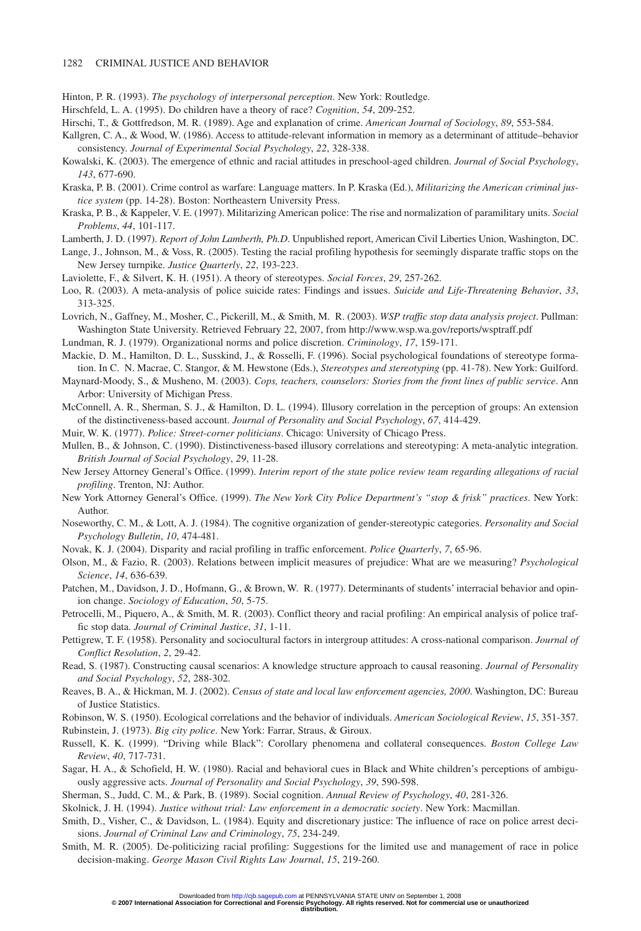Hinton, P. R. (1993). *The psychology of interpersonal perception*. New York: Routledge.

Hirschfeld, L. A. (1995). Do children have a theory of race? *Cognition*, *54*, 209-252.

Hirschi, T., & Gottfredson, M. R. (1989). Age and explanation of crime. *American Journal of Sociology*, *89*, 553-584.

Kallgren, C. A., & Wood, W. (1986). Access to attitude-relevant information in memory as a determinant of attitude–behavior consistency. *Journal of Experimental Social Psychology*, *22*, 328-338.

Kowalski, K. (2003). The emergence of ethnic and racial attitudes in preschool-aged children. *Journal of Social Psychology*, *143*, 677-690.

Kraska, P. B. (2001). Crime control as warfare: Language matters. In P. Kraska (Ed.), *Militarizing the American criminal justice system* (pp. 14-28). Boston: Northeastern University Press.

Kraska, P. B., & Kappeler, V. E. (1997). Militarizing American police: The rise and normalization of paramilitary units. *Social Problems*, *44*, 101-117.

Lamberth, J. D. (1997). *Report of John Lamberth, Ph.D*. Unpublished report, American Civil Liberties Union, Washington, DC. Lange, J., Johnson, M., & Voss, R. (2005). Testing the racial profiling hypothesis for seemingly disparate traffic stops on the New Jersey turnpike. *Justice Quarterly*, *22*, 193-223.

Laviolette, F., & Silvert, K. H. (1951). A theory of stereotypes. *Social Forces*, *29*, 257-262.

Loo, R. (2003). A meta-analysis of police suicide rates: Findings and issues. *Suicide and Life-Threatening Behavior*, *33*, 313-325.

Lovrich, N., Gaffney, M., Mosher, C., Pickerill, M., & Smith, M. R. (2003). *WSP traffic stop data analysis project*. Pullman: Washington State University. Retrieved February 22, 2007, from http://www.wsp.wa.gov/reports/wsptraff.pdf

Lundman, R. J. (1979). Organizational norms and police discretion. *Criminology*, *17*, 159-171.

Mackie, D. M., Hamilton, D. L., Susskind, J., & Rosselli, F. (1996). Social psychological foundations of stereotype formation. In C. N. Macrae, C. Stangor, & M. Hewstone (Eds.), *Stereotypes and stereotyping* (pp. 41-78). New York: Guilford.

Maynard-Moody, S., & Musheno, M. (2003). *Cops, teachers, counselors: Stories from the front lines of public service*. Ann Arbor: University of Michigan Press.

McConnell, A. R., Sherman, S. J., & Hamilton, D. L. (1994). Illusory correlation in the perception of groups: An extension of the distinctiveness-based account. *Journal of Personality and Social Psychology*, *67*, 414-429.

Muir, W. K. (1977). *Police: Street-corner politicians*. Chicago: University of Chicago Press.

Mullen, B., & Johnson, C. (1990). Distinctiveness-based illusory correlations and stereotyping: A meta-analytic integration. *British Journal of Social Psychology*, *29*, 11-28.

New Jersey Attorney General's Office. (1999). *Interim report of the state police review team regarding allegations of racial profiling*. Trenton, NJ: Author.

New York Attorney General's Office. (1999). *The New York City Police Department's "stop & frisk" practices*. New York: Author.

Noseworthy, C. M., & Lott, A. J. (1984). The cognitive organization of gender-stereotypic categories. *Personality and Social Psychology Bulletin*, *10*, 474-481.

Novak, K. J. (2004). Disparity and racial profiling in traffic enforcement. *Police Quarterly*, *7*, 65-96.

Olson, M., & Fazio, R. (2003). Relations between implicit measures of prejudice: What are we measuring? *Psychological Science*, *14*, 636-639.

Patchen, M., Davidson, J. D., Hofmann, G., & Brown, W. R. (1977). Determinants of students' interracial behavior and opinion change. *Sociology of Education*, *50*, 5-75.

Petrocelli, M., Piquero, A., & Smith, M. R. (2003). Conflict theory and racial profiling: An empirical analysis of police traffic stop data. *Journal of Criminal Justice*, *31*, 1-11.

Pettigrew, T. F. (1958). Personality and sociocultural factors in intergroup attitudes: A cross-national comparison. *Journal of Conflict Resolution*, *2*, 29-42.

Read, S. (1987). Constructing causal scenarios: A knowledge structure approach to causal reasoning. *Journal of Personality and Social Psychology*, *52*, 288-302.

Reaves, B. A., & Hickman, M. J. (2002). *Census of state and local law enforcement agencies, 2000*. Washington, DC: Bureau of Justice Statistics.

Robinson, W. S. (1950). Ecological correlations and the behavior of individuals. *American Sociological Review*, *15*, 351-357. Rubinstein, J. (1973). *Big city police*. New York: Farrar, Straus, & Giroux.

Russell, K. K. (1999). "Driving while Black": Corollary phenomena and collateral consequences. *Boston College Law Review*, *40*, 717-731.

Sagar, H. A., & Schofield, H. W. (1980). Racial and behavioral cues in Black and White children's perceptions of ambiguously aggressive acts. *Journal of Personality and Social Psychology*, *39*, 590-598.

Sherman, S., Judd, C. M., & Park, B. (1989). Social cognition. *Annual Review of Psychology*, *40*, 281-326.

Skolnick, J. H. (1994). *Justice without t[rial:](http://cjb.sagepub.com) [Law enforce](http://cjb.sagepub.com)ment in a democratic society*. New York: Macmillan.

Smith, D., Visher, C., & Davidson, L. (1984). Equity and discretionary justice: The influence of race on police arrest decisions. *Journal of Criminal Law and Criminology*, *75*, 234-249.

Smith, M. R. (2005). De-politicizing racial profiling: Suggestions for the limited use and management of race in police decision-making. *George Mason Civil Rights Law Journal*, *15*, 219-260.

**distribution.** Downloaded from http://cjb.sagepub.com at PENNSYLVANIA STATE UNIV on September 1, 2008<br>2007 International Association for Correctional and Forensic Psychology. All rights reserved. Not for commercial use or unauthorized ©